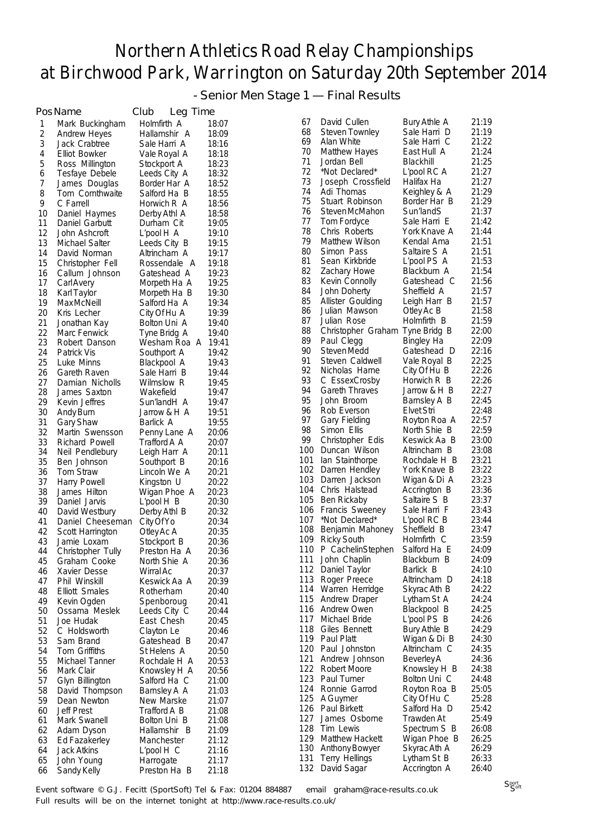- Senior Men Stage 1 — Final Results

|          | PosName                         | Club<br>Leg Time           |                |            |                                 |                              |                |
|----------|---------------------------------|----------------------------|----------------|------------|---------------------------------|------------------------------|----------------|
| 1        | Mark Buckingham                 | Holmfirth A                | 18:07          | 67         | David Cullen                    | Bury Athle A                 | 21:19          |
| 2        | <b>Andrew Heyes</b>             | Hallamshir A               | 18:09          | 68         | Steven Townley                  | Sale Harri D                 | 21:19          |
| 3        | Jack Crabtree                   | Sale Harri A               | 18:16          | 69         | Alan White                      | Sale Harri C                 | 21:22          |
| 4        | Elliot Bowker                   | Vale Royal A               | 18:18          | 70         | Matthew Hayes                   | East Hull A                  | 21:24          |
| 5        | Ross Millington                 | Stockport A                | 18:23          | 71         | Jordan Bell                     | Blackhill                    | 21:25          |
| 6        | Tesfaye Debele                  | Leeds City A               | 18:32          | 72<br>73   | *Not Declared*                  | L'pool RC A                  | 21:27          |
| 7        | James Douglas                   | Border Har A               | 18:52          | 74         | Joseph Crossfield<br>Adi Thomas | Halifax Ha                   | 21:27<br>21:29 |
| 8        | Tom Cornthwaite                 | Salford Ha B               | 18:55          | 75         | Stuart Robinson                 | Keighley & A<br>Border Har B | 21:29          |
| 9        | C Farrell                       | Horwich R A                | 18:56          | 76         | Steven McMahon                  | Sun'landS                    | 21:37          |
| 10<br>11 | Daniel Haymes<br>Daniel Garbutt | Derby Athl A<br>Durham Cit | 18:58<br>19:05 | 77         | Tom Fordyce                     | Sale Harri E                 | 21:42          |
| 12       | John Ashcroft                   | L'pool H A                 | 19:10          | 78         | Chris Roberts                   | York Knave A                 | 21:44          |
| 13       | Michael Salter                  | Leeds City B               | 19:15          | 79         | Matthew Wilson                  | Kendal Ama                   | 21:51          |
| 14       | David Norman                    | Altrincham A               | 19:17          | 80         | Simon Pass                      | Saltaire S A                 | 21:51          |
| 15       | Christopher Fell                | Rossendale A               | 19:18          | 81         | Sean Kirkbride                  | L'pool PS A                  | 21:53          |
| 16       | Callum Johnson                  | Gateshead A                | 19:23          | 82         | <b>Zachary Howe</b>             | Blackburn A                  | 21:54          |
| 17       | CarlAvery                       | Morpeth Ha A               | 19:25          | 83         | Kevin Connolly                  | Gateshead C                  | 21:56          |
| 18       | Karl Taylor                     | Morpeth Ha B               | 19:30          | 84         | John Doherty                    | Sheffield A                  | 21:57          |
| 19       | Max McNeill                     | Salford Ha A               | 19:34          | 85         | Allister Goulding               | Leigh Harr B                 | 21:57          |
| 20       | Kris Lecher                     | City Of Hu A               | 19:39          | 86         | Julian Mawson                   | Otley Ac B                   | 21:58          |
| 21       | Jonathan Kay                    | Bolton Uni A               | 19:40          | 87         | Julian Rose                     | Holmfirth B                  | 21:59          |
| 22       | Marc Fenwick                    | Tyne Bridg A               | 19:40          | 88         | Christopher Graham Tyne Bridg B |                              | 22:00          |
| 23       | Robert Danson                   | Wesham Roa A               | 19:41          | 89         | Paul Clegg                      | Bingley Ha                   | 22:09          |
| 24       | Patrick Vis                     | Southport A                | 19:42          | 90         | Steven Medd                     | Gateshead D                  | 22:16          |
| 25       | Luke Minns                      | Blackpool A                | 19:43          | 91         | Steven Caldwell                 | Vale Royal B                 | 22:25          |
| 26       | Gareth Raven                    | Sale Harri B               | 19:44          | 92         | Nicholas Harne                  | City Of Hu B                 | 22:26          |
| 27       | Damian Nicholls                 | Wilmslow R                 | 19:45          | 93         | C EssexCrosby                   | Horwich R B                  | 22:26          |
| 28       | James Saxton                    | Wakefield                  | 19:47          | 94         | <b>Gareth Thraves</b>           | Jarrow & H B                 | 22:27          |
| 29       | Kevin Jeffres                   | Sun'landH A                | 19:47          | 95         | John Broom                      | Barnsley A B                 | 22:45          |
| 30       | Andy Burn                       | Jarrow & H A               | 19:51          | 96<br>97   | Rob Everson                     | <b>Elvet Stri</b>            | 22:48          |
| 31       | <b>Gary Shaw</b>                | Barlick A                  | 19:55          | 98         | Gary Fielding<br>Simon Ellis    | Royton Roa A<br>North Shie B | 22:57<br>22:59 |
| 32       | Martin Swensson                 | Penny Lane A               | 20:06          | 99         | Christopher Edis                | Keswick Aa B                 | 23:00          |
| 33       | Richard Powell                  | Trafford A A               | 20:07          |            | 100 Duncan Wilson               | Altrincham B                 | 23:08          |
| 34       | Neil Pendlebury                 | Leigh Harr A               | 20:11          | 101        | lan Stainthorpe                 | Rochdale H B                 | 23:21          |
| 35<br>36 | Ben Johnson<br>Tom Straw        | Southport B                | 20:16<br>20:21 | 102        | Darren Hendley                  | York Knave B                 | 23:22          |
| 37       | Harry Powell                    | Lincoln We A<br>Kingston U | 20:22          | 103        | Darren Jackson                  | Wigan & Di A                 | 23:23          |
| 38       | James Hilton                    | Wigan Phoe A               | 20:23          |            | 104 Chris Halstead              | Accrington B                 | 23:36          |
| 39       | Daniel Jarvis                   | $L'$ pool $H$ $B$          | 20:30          | 105        | Ben Rickaby                     | Saltaire S B                 | 23:37          |
| 40       | David Westbury                  | Derby Athl B               | 20:32          |            | 106 Francis Sweeney             | Sale Harri F                 | 23:43          |
| 41       | Daniel Cheeseman                | City Of Yo                 | 20:34          | 107        | *Not Declared*                  | $L'$ pool RC B               | 23:44          |
| 42       | Scott Harrington                | Otley Ac A                 | 20:35          | 108        | Benjamin Mahoney                | Sheffield B                  | 23:47          |
| 43       | Jamie Loxam                     | Stockport B                | 20:36          | 109        | <b>Ricky South</b>              | Holmfirth C                  | 23:59          |
| 44       | Christopher Tully               | Preston Ha A               | 20:36          |            | 110 P CachelinStephen           | Salford Ha E                 | 24:09          |
| 45       | Graham Cooke                    | North Shie A               | 20:36          |            | 111 John Chaplin                | Blackburn B                  | 24:09          |
| 46       | Xavier Desse                    | Wirral Ac                  | 20:37          |            | 112 Daniel Taylor               | Barlick B                    | 24:10          |
| 47       | Phil Winskill                   | Keswick Aa A               | 20:39          |            | 113 Roger Preece                | Altrincham D                 | 24:18          |
| 48       | <b>Elliott Smales</b>           | Rotherham                  | 20:40          |            | 114 Warren Herridge             | Skyrac Ath B                 | 24:22          |
| 49       | Kevin Ogden                     | Spenboroug                 | 20:41          |            | 115 Andrew Draper               | Lytham St A                  | 24:24          |
| 50       | Ossama Meslek                   | Leeds City C               | 20:44          |            | 116 Andrew Owen                 | Blackpool B                  | 24:25          |
| 51       | Joe Hudak                       | East Chesh                 | 20:45          | 117        | Michael Bride                   | L'pool PS B                  | 24:26          |
| 52       | C Holdsworth                    | Clayton Le                 | 20:46          | 118<br>119 | Giles Bennett<br>Paul Platt     | Bury Athle B                 | 24:29<br>24:30 |
| 53       | Sam Brand                       | Gateshead B                | 20:47          |            | 120 Paul Johnston               | Wigan & Di B<br>Altrincham C | 24:35          |
| 54       | Tom Griffiths                   | St Helens A                | 20:50          | 121        | Andrew Johnson                  | <b>Beverley A</b>            | 24:36          |
| 55       | Michael Tanner                  | Rochdale H A               | 20:53          |            | 122 Robert Moore                | Knowsley H B                 | 24:38          |
| 56       | Mark Clair                      | Knowsley H A               | 20:56          |            | 123 Paul Turner                 | Bolton Uni C                 | 24:48          |
| 57       | Glyn Billington                 | Salford Ha C               | 21:00          |            | 124 Ronnie Garrod               | Royton Roa B                 | 25:05          |
| 58<br>59 | David Thompson<br>Dean Newton   | Barnsley A A<br>New Marske | 21:03<br>21:07 |            | 125 A Guymer                    | City Of Hu C                 | 25:28          |
| 60       | <b>Jeff Prest</b>               | Trafford A B               | 21:08          |            | 126 Paul Birkett                | Salford Ha D                 | 25:42          |
| 61       | Mark Swanell                    | Bolton Uni B               | 21:08          | 127        | James Osborne                   | Trawden At                   | 25:49          |
| 62       | Adam Dyson                      | Hallamshir B               | 21:09          | 128        | Tim Lewis                       | Spectrum S B                 | 26:08          |
| 63       | Ed Fazakerley                   | Manchester                 | 21:12          |            | 129 Matthew Hackett             | Wigan Phoe B                 | 26:25          |
| 64       | <b>Jack Atkins</b>              | $L'$ pool $H$ $C$          | 21:16          |            | 130 Anthony Bowyer              | Skyrac Ath A                 | 26:29          |
| 65       | John Young                      | Harrogate                  | 21:17          | 131        | <b>Terry Hellings</b>           | Lytham St B                  | 26:33          |
| 66       | Sandy Kelly                     | Preston Ha B               | 21:18          | 132        | David Sagar                     | Accrington A                 | 26:40          |

Event software © G.J. Fecitt (SportSoft) Tel & Fax: 01204 884887 email graham@race-results.co.uk Full results will be on the internet tonight at http://www.race-results.co.uk/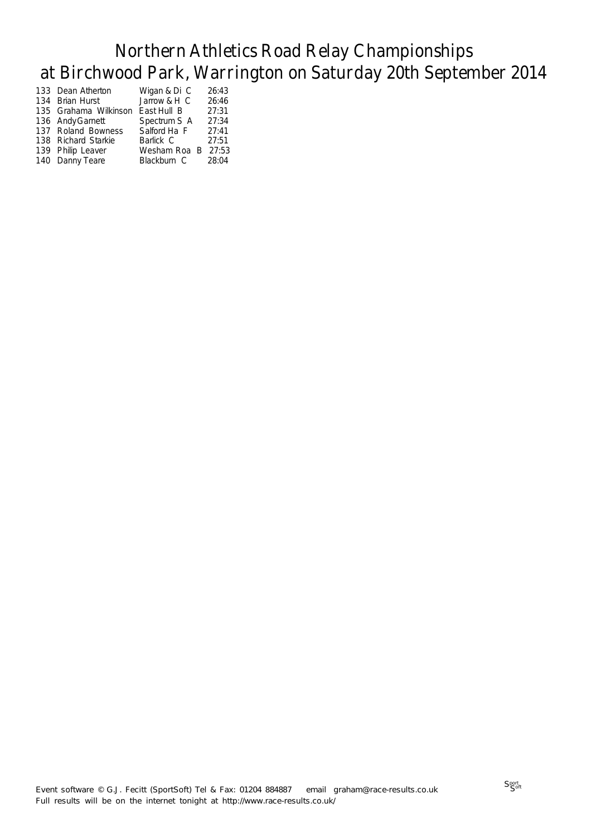| 133 Dean Atherton     | Wigan & Di C       | 26:43 |
|-----------------------|--------------------|-------|
| 134 Brian Hurst       | Jarrow & H C       | 26:46 |
| 135 Grahama Wilkinson | East Hull B        | 27:31 |
| 136 Andy Garnett      | Spectrum S A       | 27:34 |
| 137 Roland Bowness    | Salford Ha F       | 27:41 |
| 138 Richard Starkie   | Barlick C          | 27:51 |
| 139 Philip Leaver     | Wesham Roa B 27:53 |       |
| 140 Danny Teare       | Blackburn C        | 28:04 |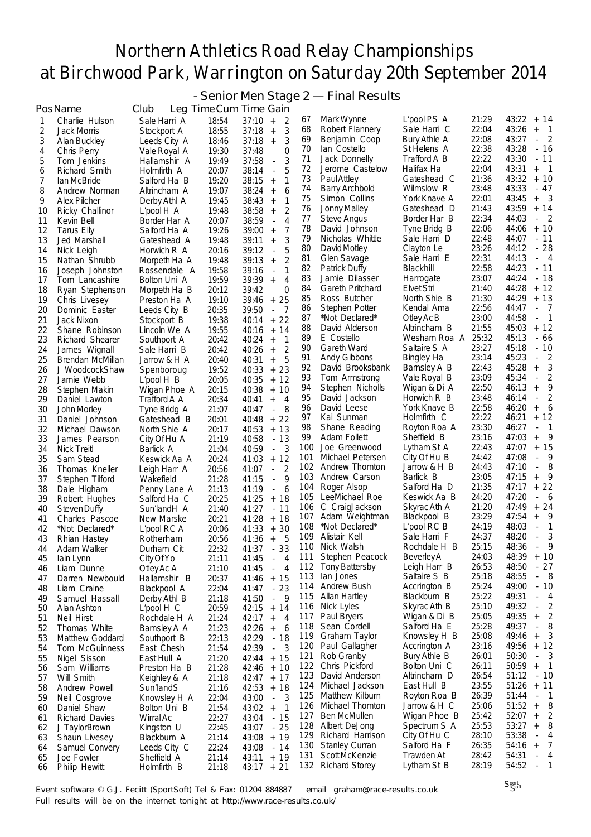- Senior Men Stage 2 — Final Results

|          | PosName                             | Club                        |                | Leg Time Cum Time Gain                                                                      |            |                                        |                             |                |                                                     |
|----------|-------------------------------------|-----------------------------|----------------|---------------------------------------------------------------------------------------------|------------|----------------------------------------|-----------------------------|----------------|-----------------------------------------------------|
| 1        | Charlie Hulson                      | Sale Harri A                | 18:54          | 37:10<br>2<br>$\qquad \qquad +$                                                             | 67         | Mark Wynne                             | L'pool PS A                 | 21:29          | 43:22<br>+ 14                                       |
| 2        | Jack Morris                         | Stockport A                 | 18:55          | 3<br>37:18<br>$\ddot{}$                                                                     | 68         | Robert Flannery                        | Sale Harri C                | 22:04          | 43:26<br>- 1<br>$^{+}$                              |
| 3        | Alan Buckley                        | Leeds City A                | 18:46          | 3<br>37:18<br>$+$                                                                           | 69         | Benjamin Coop                          | Bury Athle A                | 22:08          | $\overline{\phantom{0}}^2$<br>43:27                 |
| 4        | Chris Perry                         | Vale Royal A                | 19:30          | 37:48<br>$\Omega$                                                                           | 70         | lan Costello                           | St Helens A                 | 22:38          | 43:28<br>$-16$                                      |
| 5        | Tom Jenkins                         | Hallamshir A                | 19:49          | 37:58<br>3<br>$\Box$                                                                        | 71         | Jack Donnelly                          | Trafford A B                | 22:22          | 43:30<br>$-11$                                      |
| 6        | Richard Smith                       | Holmfirth A                 | 20:07          | 38:14<br>5<br>$\overline{\phantom{a}}$                                                      | 72         | Jerome Castelow                        | Halifax Ha                  | 22:04          | 43:31<br>$\overline{\phantom{0}}$<br>$^{+}$         |
| 7        | lan McBride                         | Salford Ha B                | 19:20          | 38:15<br>1<br>$\ddot{}$                                                                     | 73         | <b>Paul Attley</b>                     | Gateshead C                 | 21:36          | 43:32<br>$+10$<br>43:33<br>$-47$                    |
| 8        | Andrew Norman                       | Altrincham A                | 19:07          | 6<br>38:24<br>$\ddot{}$                                                                     | 74<br>75   | <b>Barry Archbold</b><br>Simon Collins | Wilmslow R<br>York Knave A  | 23:48<br>22:01 | 43:45<br>- 3<br>$^{+}$                              |
| 9        | <b>Alex Pilcher</b>                 | Derby Athl A                | 19:45          | 38:43<br>1<br>$\ddot{}$                                                                     | 76         | <b>Jonny Malley</b>                    | Gateshead D                 | 21:43          | 43:59<br>$+ 14$                                     |
| 10       | Ricky Challinor                     | L'pool H A                  | 19:48<br>20:07 | $\overline{2}$<br>38:58<br>$\ddot{}$<br>$\overline{4}$<br>38:59<br>$\overline{\phantom{a}}$ | 77         | <b>Steve Angus</b>                     | Border Har B                | 22:34          | 44:03<br>$-2$                                       |
| 11<br>12 | Kevin Bell<br><b>Tarus Elly</b>     | Border Har A                | 19:26          | 39:00<br>7<br>$+$                                                                           | 78         | David Johnson                          | Tyne Bridg B                | 22:06          | 44:06<br>$+10$                                      |
| 13       | Jed Marshall                        | Salford Ha A<br>Gateshead A | 19:48          | 3<br>39:11<br>$\ddot{}$                                                                     | 79         | Nicholas Whittle                       | Sale Harri D                | 22:48          | 44:07<br>$-11$                                      |
| 14       | Nick Leigh                          | Horwich R A                 | 20:16          | 5<br>39:12<br>$\Box$                                                                        | 80         | David Motley                           | Clayton Le                  | 23:26          | $-28$<br>44:12                                      |
| 15       | Nathan Shrubb                       | Morpeth Ha A                | 19:48          | 39:13<br>2<br>$\qquad \qquad +$                                                             | 81         | Glen Savage                            | Sale Harri E                | 22:31          | 44:13<br>$-4$                                       |
| 16       | Joseph Johnston                     | Rossendale A                | 19:58          | 39:16<br>1<br>÷,                                                                            | 82         | Patrick Duffy                          | Blackhill                   | 22:58          | $-11$<br>44:23                                      |
| 17       | Tom Lancashire                      | Bolton Uni A                | 19:59          | $\overline{4}$<br>39:39<br>$^{+}$                                                           | 83         | Jamie Dilasser                         | Harrogate                   | 23:07          | 44:24<br>$-18$                                      |
| 18       | Ryan Stephenson                     | Morpeth Ha B                | 20:12          | 39:42<br>$\Omega$                                                                           | 84         | Gareth Pritchard                       | Elvet Stri                  | 21:40          | $+ 12$<br>44:28                                     |
| 19       | Chris Livesey                       | Preston Ha A                | 19:10          | 25<br>39:46<br>$^+$                                                                         | 85         | Ross Butcher                           | North Shie B                | 21:30          | $+ 13$<br>44:29                                     |
| 20       | Dominic Easter                      | Leeds City B                | 20:35          | 7<br>39:50<br>$\overline{\phantom{a}}$                                                      | 86         | Stephen Potter                         | Kendal Ama                  | 22:56          | 44:47<br>$\overline{7}$<br>$\blacksquare$           |
| 21       | Jack Nixon                          | Stockport B                 | 19:38          | $+22$<br>40:14                                                                              | 87         | *Not Declared*                         | Otley Ac B                  | 23:00          | 44:58<br>$\overline{\phantom{0}}$                   |
| 22       | Shane Robinson                      | Lincoln We A                | 19:55          | $+ 14$<br>40:16                                                                             | 88         | David Alderson                         | Altrincham B                | 21:55          | $+ 12$<br>45:03                                     |
| 23       | Richard Shearer                     | Southport A                 | 20:42          | $\mathbf{1}$<br>40:24<br>$\ddot{}$                                                          | 89         | E Costello                             | Wesham Roa A                | 25:32          | 45:13<br>- 66                                       |
| 24       | James Wignall                       | Sale Harri B                | 20:42          | 2<br>40:26<br>$\qquad \qquad +$                                                             | 90         | Gareth Ward                            | Saltaire S A                | 23:27          | 45:18<br>$-10$                                      |
| 25       | Brendan McMillan                    | Jarrow & H A                | 20:40          | 40:31<br>5<br>$\ddot{}$                                                                     | 91         | <b>Andy Gibbons</b>                    | Bingley Ha                  | 23:14          | 45:23<br>2<br>$\Box$                                |
| 26       | J WoodcockShaw                      | Spenboroug                  | 19:52          | 40:33<br>23<br>$^{+}$                                                                       | 92         | David Brooksbank                       | Barnsley A B                | 22:43          | 3<br>45:28<br>$\ddot{}$                             |
| 27       | Jamie Webb                          | $L'$ pool $H$ $B$           | 20:05          | 40:35<br>$+ 12$                                                                             | 93         | Tom Armstrong                          | Vale Royal B                | 23:09          | 45:34<br>2<br>$\overline{\phantom{a}}$              |
| 28       | Stephen Makin                       | Wigan Phoe A                | 20:15          | 40:38<br>$+ 10$                                                                             | 94<br>95   | Stephen Nicholls                       | Wigan & Di A                | 22:50<br>23:48 | 9<br>46:13<br>$^{\mathrm{+}}$<br>46:14<br>÷,        |
| 29       | Daniel Lawton                       | Trafford A A                | 20:34          | $\overline{4}$<br>40:41<br>$\ddot{}$                                                        | 96         | David Jackson<br>David Leese           | Horwich R B<br>York Knave B | 22:58          | 2<br>46:20<br>6                                     |
| 30       | John Morley                         | Tyne Bridg A                | 21:07          | 8<br>40:47<br>$\blacksquare$                                                                | 97         | Kai Sunman                             | Holmfirth C                 | 22:22          | $^{\mathrm{+}}$<br>$+ 12$<br>46:21                  |
| 31       | Daniel Johnson                      | Gateshead B                 | 20:01          | 40:48<br>$+22$                                                                              | 98         | Shane Reading                          | Royton Roa A                | 23:30          | 46:27<br>- 1<br>$\overline{\phantom{a}}$            |
| 32       | Michael Dawson                      | North Shie A                | 20:17<br>21:19 | 40:53<br>$+13$<br>- 13                                                                      | 99         | Adam Follett                           | Sheffield B                 | 23:16          | 9<br>47:03<br>$^{\mathrm{+}}$                       |
| 33<br>34 | James Pearson<br><b>Nick Treitl</b> | City Of Hu A<br>Barlick A   | 21:04          | 40:58<br>40:59<br>3<br>$\overline{\phantom{a}}$                                             | 100        | Joe Greenwood                          | Lytham St A                 | 22:43          | $+ 15$<br>47:07                                     |
| 35       | Sam Stead                           | Keswick Aa A                | 20:24          | $+ 12$<br>41:03                                                                             | 101        | Michael Petersen                       | City Of Hu B                | 24:42          | 47:08<br>9<br>$\Box$                                |
| 36       | Thomas Kneller                      | Leigh Harr A                | 20:56          | $\overline{2}$<br>41:07<br>$\overline{\phantom{a}}$                                         | 102        | Andrew Thornton                        | Jarrow & H B                | 24:43          | 8<br>47:10<br>$\overline{\phantom{a}}$              |
| 37       | Stephen Tilford                     | Wakefield                   | 21:28          | 9<br>41:15<br>$\overline{\phantom{a}}$                                                      | 103        | Andrew Carson                          | Barlick B                   | 23:05          | 9<br>47:15<br>$^{\mathrm{+}}$                       |
| 38       | Dale Higham                         | Penny Lane A                | 21:13          | 6<br>41:19<br>$\overline{\phantom{a}}$                                                      | 104        | Roger Alsop                            | Salford Ha D                | 21:35          | 47:17<br>$+22$                                      |
| 39       | Robert Hughes                       | Salford Ha C                | 20:25          | 41:25<br>$+ 18$                                                                             | 105        | LeeMichael Roe                         | Keswick Aa B                | 24:20          | 47:20<br>6                                          |
| 40       | Steven Duffy                        | Sun'landH A                 | 21:40          | 41:27<br>$-11$                                                                              | 106        | C CraigJackson                         | Skyrac Ath A                | 21:20          | $+24$<br>47:49                                      |
| 41       | Charles Pascoe                      | New Marske                  | 20:21          | 41:28<br>18<br>$^{+}$                                                                       | 107        | Adam Weightman                         | Blackpool B                 | 23:29          | 47:54<br>9<br>$^{\mathrm{+}}$                       |
| 42       | *Not Declared*                      | L'pool RC A                 | 20:06          | 30<br>41:33<br>$+$                                                                          | 108        | *Not Declared*                         | L'pool RC B                 | 24:19          | 48:03<br>-1<br>÷,                                   |
| 43       | Rhian Hastey                        | Rotherham                   | 20:56          | 41:36<br>5<br>$+$                                                                           | 109        | Alistair Kell                          | Sale Harri F                | 24:37          | 3<br>48:20<br>$\overline{\phantom{a}}$              |
| 44       | Adam Walker                         | Durham Cit                  | 22:32          | 41:37<br>33                                                                                 |            | 110 Nick Walsh                         | Rochdale H B                | 25:15          | 48:36<br>Q                                          |
| 45       | lain Lynn                           | City Of Yo                  | 21:11          | $\overline{4}$<br>41:45<br>$\sim$                                                           | 111        | Stephen Peacock                        | <b>Beverley A</b>           | 24:03          | 48:39<br>$+10$                                      |
| 46       | Liam Dunne                          | Otley Ac A                  | 21:10          | 41:45<br>$\overline{4}$<br>$\mathcal{L}_{\mathcal{A}}$                                      | 112        | Tony Battersby                         | Leigh Harr B                | 26:53          | 48:50<br>$-27$                                      |
| 47       | Darren Newbould                     | Hallamshir B                | 20:37          | $41:46 + 15$                                                                                | 113        | lan Jones<br>Andrew Bush               | Saltaire S B                | 25:18<br>25:24 | 48:55<br>- 8<br>49:00<br>$-10$                      |
| 48       | Liam Craine                         | Blackpool A                 | 22:04          | $-23$<br>41:47                                                                              | 114<br>115 | Allan Hartley                          | Accrington B<br>Blackburn B | 25:22          | 49:31<br>$\overline{4}$<br>$\overline{\phantom{a}}$ |
| 49       | Samuel Hassall                      | Derby Athl B                | 21:18          | 41:50<br>9<br>$\overline{\phantom{a}}$                                                      | 116        | Nick Lyles                             | Skyrac Ath B                | 25:10          | 49:32<br>$\overline{2}$<br>$\Box$                   |
| 50       | Alan Ashton<br>Neil Hirst           | L'pool H C                  | 20:59          | $42:15 + 14$<br>$\overline{4}$                                                              | 117        | Paul Bryers                            | Wigan & Di B                | 25:05          | 49:35<br>$\overline{2}$<br>$+$                      |
| 51<br>52 | Thomas White                        | Rochdale H A                | 21:24<br>21:23 | 42:17<br>$\ddot{}$<br>42:26<br>6<br>$\qquad \qquad +$                                       | 118        | Sean Cordell                           | Salford Ha E                | 25:28          | 49:37<br>8<br>$\Box$                                |
| 53       | Matthew Goddard                     | Barnsley A A<br>Southport B | 22:13          | $-18$<br>42:29                                                                              | 119        | Graham Taylor                          | Knowsley H B                | 25:08          | 49:46<br>3<br>$+$                                   |
| 54       | Tom McGuinness                      | East Chesh                  | 21:54          | 42:39<br>3<br>$\Box$                                                                        | 120        | Paul Gallagher                         | Accrington A                | 23:16          | 49:56<br>$+12$                                      |
| 55       | Nigel Sisson                        | East Hull A                 | 21:20          | 42:44<br>$+15$                                                                              | 121        | Rob Granby                             | Bury Athle B                | 26:01          | 50:30<br>-3<br>$\sim$                               |
| 56       | Sam Williams                        | Preston Ha B                | 21:28          | 42:46<br>+ 10                                                                               | 122        | Chris Pickford                         | Bolton Uni C                | 26:11          | 50:59<br>$\overline{1}$<br>$+$                      |
| 57       | Will Smith                          | Keighley & A                | 21:18          | $42:47 + 17$                                                                                | 123        | David Anderson                         | Altrincham D                | 26:54          | 51:12<br>$-10$                                      |
| 58       | Andrew Powell                       | Sun'landS                   | 21:16          | $+18$<br>42:53                                                                              | 124        | Michael Jackson                        | East Hull B                 | 23:55          | 51:26<br>$+ 11$                                     |
| 59       | Neil Cosgrove                       | Knowsley H A                | 22:04          | 43:00<br>3<br>$\Box$                                                                        | 125        | Matthew Kilburn                        | Royton Roa B                | 26:39          | 51:44<br>$\overline{1}$<br>÷,                       |
| 60       | Daniel Shaw                         | Bolton Uni B                | 21:54          | 43:02<br>$+$<br>$\mathbf{1}$                                                                | 126        | Michael Thornton                       | Jarrow & H C                | 25:06          | 51:52<br>8<br>$+$                                   |
| 61       | <b>Richard Davies</b>               | Wirral Ac                   | 22:27          | $-15$<br>43:04                                                                              | 127        | Ben McMullen                           | Wigan Phoe B                | 25:42          | 52:07<br>$\overline{2}$<br>$\ddot{}$                |
| 62       | J TaylorBrown                       | Kingston U                  | 22:45          | $-25$<br>43:07                                                                              | 128        | Albert DeJong                          | Spectrum S A                | 25:53          | 53:27<br>8<br>$^{\mathrm{+}}$                       |
| 63       | Shaun Livesey                       | Blackburn A                 | 21:14          | $+ 19$<br>43:08                                                                             | 129        | Richard Harrison                       | City Of Hu C                | 28:10          | 53:38<br>4                                          |
| 64       | Samuel Convery                      | Leeds City C                | 22:24          | 43:08<br>$-14$                                                                              | 130        | <b>Stanley Curran</b>                  | Salford Ha F                | 26:35          | 54:16<br>7<br>$^+$                                  |
| 65       | Joe Fowler                          | Sheffield A                 | 21:14          | + 19<br>43:11                                                                               | 131        | Scott McKenzie                         | Trawden At                  | 28:42          | 54:31<br>4<br>$\blacksquare$                        |
| 66       | Philip Hewitt                       | Holmfirth B                 | 21:18          | $43:17 + 21$                                                                                |            | 132 Richard Storey                     | Lytham St B                 | 28:19          | 54:52<br>1<br>$\blacksquare$                        |

Event software © G.J. Fecitt (SportSoft) Tel & Fax: 01204 884887 email graham@race-results.co.uk Full results will be on the internet tonight at http://www.race-results.co.uk/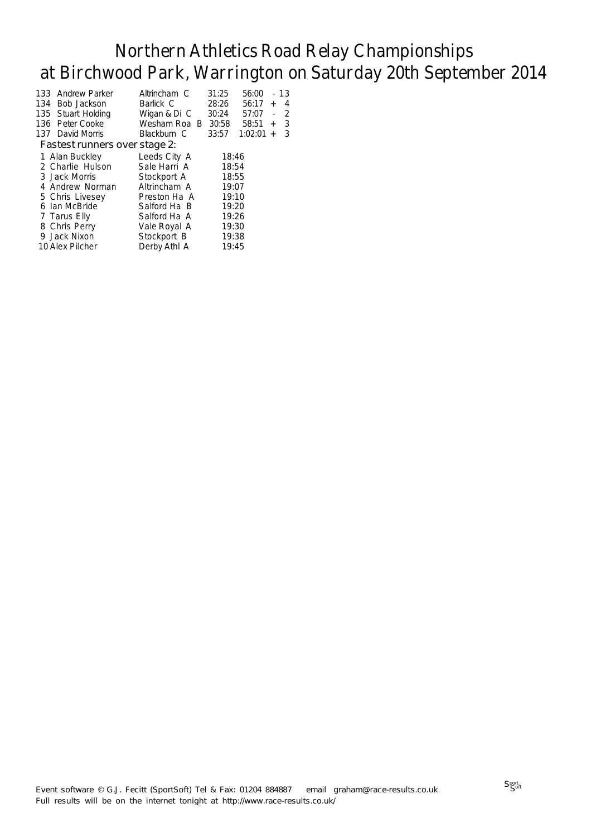|     | 133 Andrew Parker             | Altrincham C | 31:25 | 56:00   |           | 13 |
|-----|-------------------------------|--------------|-------|---------|-----------|----|
| 134 | Bob Jackson                   | Barlick C    | 28:26 | 56:17   | $\ddot{}$ | 4  |
|     | 135 Stuart Holding            | Wigan & Di C | 30:24 | 57:07   | ÷,        | -2 |
|     | 136 Peter Cooke               | Wesham Roa B | 30:58 | 58:51   | $+$       | 3  |
|     | 137 David Morris              | Blackburn C  | 33:57 | 1:02:01 | $+$       | 3  |
|     | Fastest runners over stage 2: |              |       |         |           |    |
|     | 1 Alan Buckley                | Leeds City A | 18:46 |         |           |    |
|     | 2 Charlie Hulson              | Sale Harri A | 18:54 |         |           |    |
|     | 3 Jack Morris                 | Stockport A  | 18:55 |         |           |    |
|     | 4 Andrew Norman               | Altrincham A | 19:07 |         |           |    |
|     | 5 Chris Livesey               | Preston Ha A | 19:10 |         |           |    |
|     | 6 Ian McBride                 | Salford Ha B | 19:20 |         |           |    |
|     | 7 Tarus Elly                  | Salford Ha A | 19:26 |         |           |    |
|     | 8 Chris Perry                 | Vale Royal A | 19:30 |         |           |    |
|     | 9 Jack Nixon                  | Stockport B  | 19:38 |         |           |    |
|     | 10 Alex Pilcher               | Derby Athl A | 19:45 |         |           |    |
|     |                               |              |       |         |           |    |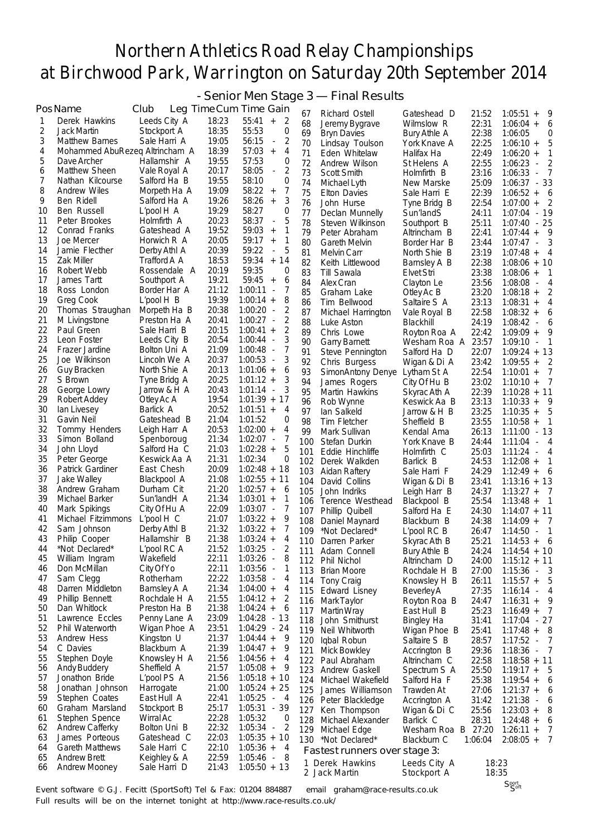- Senior Men Stage 3 — Final Results

|          | PosName                            | Club                         |                | Leg Time Cum Time Gain                                       | 67         | Richard Ostell                           | Gateshead D                       | 21:52          | $1:05:51 +$<br>- 9                                          |
|----------|------------------------------------|------------------------------|----------------|--------------------------------------------------------------|------------|------------------------------------------|-----------------------------------|----------------|-------------------------------------------------------------|
| 1        | Derek Hawkins                      | Leeds City A                 | 18:23          | 55:41<br>$+$<br>2                                            | 68         | Jeremy Bygrave                           | Wilmslow R                        | 22:31          | $1:06:04 +$<br>6                                            |
| 2        | Jack Martin                        | Stockport A                  | 18:35          | 55:53<br>0                                                   | 69         | <b>Bryn Davies</b>                       | Bury Athle A                      | 22:38          | 1:06:05<br>0                                                |
| 3        | <b>Matthew Barnes</b>              | Sale Harri A                 | 19:05          | 2<br>56:15<br>$\overline{\phantom{a}}$                       | 70         | Lindsay Toulson                          | York Knave A                      | 22:25          | 5<br>$1:06:10 +$                                            |
| 4        | Mohammed AbuRezeg Altrincham A     |                              | 18:39          | 57:03<br>4<br>$^{+}$                                         | 71         | Eden Whitelaw                            | Halifax Ha                        | 22:49          | $1:06:20 +$<br>1                                            |
| 5        | Dave Archer                        | Hallamshir A                 | 19:55          | 57:53<br>0                                                   | 72         | Andrew Wilson                            | St Helens A                       | 22:55          | 2<br>1:06:23<br>$\overline{\phantom{a}}$                    |
| 6        | Matthew Sheen                      | Vale Royal A                 | 20:17          | 2<br>58:05<br>÷                                              | 73         | Scott Smith                              | Holmfirth B                       | 23:16          | 7<br>1:06:33<br>$\overline{\phantom{a}}$                    |
| 7        | Nathan Kilcourse                   | Salford Ha B                 | 19:55          | 58:10<br>0                                                   | 74         | Michael Lyth                             | New Marske                        | 25:09          | $1:06:37 - 33$                                              |
| 8<br>9   | Andrew Wiles<br>Ben Ridell         | Morpeth Ha A<br>Salford Ha A | 19:09<br>19:26 | 7<br>58:22<br>$\qquad \qquad +$<br>3<br>58:26                | 75         | Elton Davies                             | Sale Harri E                      | 22:39          | $1:06:52 +$<br>- 6                                          |
| 10       | Ben Russell                        | $L'$ pool $H$ A              | 19:29          | $\ddot{}$<br>58:27<br>0                                      | 76         | John Hurse                               | Tyne Bridg B                      | 22:54          | 2<br>$1:07:00 +$                                            |
| 11       | Peter Brookes                      | Holmfirth A                  | 20:23          | 58:37<br>5<br>$\overline{a}$                                 | 77<br>78   | Declan Munnelly                          | Sun'landS                         | 24:11<br>25:11 | $1:07:04 - 19$<br>$1:07:40 - 25$                            |
| 12       | Conrad Franks                      | Gateshead A                  | 19:52          | 1<br>59:03<br>$^{+}$                                         | 79         | Steven Wilkinson<br>Peter Abraham        | Southport B<br>Altrincham B       | 22:41          | $1:07:44 + 9$                                               |
| 13       | Joe Mercer                         | Horwich R A                  | 20:05          | 59:17<br>1<br>$\! + \!$                                      | 80         | Gareth Melvin                            | Border Har B                      | 23:44          | 3<br>1:07:47 -                                              |
| 14       | Jamie Flecther                     | Derby Athl A                 | 20:39          | 5<br>59:22<br>$\overline{a}$                                 | 81         | Melvin Carr                              | North Shie B                      | 23:19          | $1:07:48 +$<br>4                                            |
| 15       | <b>Zak Miller</b>                  | Trafford A A                 | 18:53          | 59:34<br>14<br>$^{\mathrm{+}}$                               | 82         | Keith Littlewood                         | Barnsley A B                      | 22:38          | $1:08:06 + 10$                                              |
| 16       | Robert Webb                        | Rossendale A                 | 20:19          | 59:35<br>0                                                   | 83         | Till Sawala                              | Elvet Stri                        | 23:38          | $1:08:06 +$<br>$\overline{1}$                               |
| 17       | James Tartt                        | Southport A                  | 19:21          | 6<br>$59:45 +$                                               | 84         | Alex Cran                                | Clayton Le                        | 23:56          | $1:08:08 -$<br>4                                            |
| 18       | Ross London                        | Border Har A                 | 21:12          | 7<br>1:00:11<br>$\overline{\phantom{a}}$                     | 85         | Graham Lake                              | Otley Ac B                        | 23:20          | 2<br>$1:08:18 +$                                            |
| 19       | Greg Cook                          | L'pool H B                   | 19:39          | 8<br>$1:00:14 +$                                             | 86         | Tim Bellwood                             | Saltaire S A                      | 23:13          | $1:08:31 +$<br>4                                            |
| 20<br>21 | Thomas Straughan                   | Morpeth Ha B<br>Preston Ha A | 20:38<br>20:41 | 2<br>1:00:20<br>$\overline{\phantom{a}}$<br>2<br>$1:00:27 -$ | 87         | Michael Harrington                       | Vale Royal B                      | 22:58          | $1:08:32 +$<br>6                                            |
| 22       | M Livingstone<br>Paul Green        | Sale Harri B                 | 20:15          | 2<br>$1:00:41 +$                                             | 88         | Luke Aston                               | Blackhill                         | 24:19          | $1:08:42 -$<br>6                                            |
| 23       | Leon Foster                        | Leeds City B                 | 20:54          | 3<br>1:00:44<br>$\overline{\phantom{a}}$                     | 89         | Chris Lowe                               | Royton Roa A                      | 22:42          | $1:09:09 +$<br>9                                            |
| 24       | Frazer Jardine                     | Bolton Uni A                 | 21:09          | 7<br>1:00:48<br>$\overline{\phantom{a}}$                     | 90<br>91   | <b>Garry Barnett</b><br>Steve Pennington | Wesham Roa A<br>Salford Ha D      | 23:57<br>22:07 | 1:09:10<br>-1<br>$\overline{\phantom{a}}$<br>$1:09:24 + 13$ |
| 25       | Joe Wilkinson                      | Lincoln We A                 | 20:37          | 3<br>1:00:53<br>$\overline{\phantom{a}}$                     | 92         | Chris Burgess                            | Wigan & Di A                      | 23:42          | $1:09:55 +$<br>2                                            |
| 26       | <b>Guy Bracken</b>                 | North Shie A                 | 20:13          | 6<br>$1:01:06 +$                                             | 93         | SimonAntony Denye                        | Lytham St A                       | 22:54          | $1:10:01 +$<br>7                                            |
| 27       | S Brown                            | Tyne Bridg A                 | 20:25          | 3<br>$1:01:12 +$                                             | 94         | James Rogers                             | City Of Hu B                      | 23:02          | 7<br>$1:10:10 +$                                            |
| 28       | George Lowry                       | Jarrow & H A                 | 20:43          | 3<br>$1:01:14 -$                                             | 95         | Martin Hawkins                           | Skyrac Ath A                      | 22:39          | $1:10:28 + 11$                                              |
| 29       | Robert Addey                       | Otley Ac A                   | 19:54          | $1:01:39 + 17$                                               | 96         | Rob Wynne                                | Keswick Aa B                      | 23:13          | 9<br>$1:10:33 +$                                            |
| 30       | lan Livesey                        | Barlick A                    | 20:52          | $1:01:51 +$<br>4                                             | 97         | lan Salkeld                              | Jarrow & H B                      | 23:25          | 5<br>$1:10:35 +$                                            |
| 31       | Gavin Neil                         | Gateshead B                  | 21:04          | 1:01:52<br>0                                                 | 98         | Tim Fletcher                             | Sheffield B                       | 23:55          | $1:10:58 +$<br>$\overline{\phantom{0}}$ 1                   |
| 32       | Tommy Henders                      | Leigh Harr A                 | 20:53          | $1:02:00 +$<br>4                                             | 99         | Mark Sullivan                            | Kendal Ama                        | 26:13          | $1:11:00 - 13$                                              |
| 33<br>34 | Simon Bolland<br>John Lloyd        | Spenboroug<br>Salford Ha C   | 21:34<br>21:03 | 7<br>$1:02:07 -$<br>5<br>$1:02:28 +$                         | 100        | Stefan Durkin                            | York Knave B                      | 24:44          | 1:11:04<br>$-4$                                             |
| 35       | Peter George                       | Keswick Aa A                 | 21:31          | 0<br>1:02:34                                                 | 101        | Eddie Hinchliffe                         | Holmfirth C                       | 25:03          | $1:11:24 - 4$                                               |
| 36       | Patrick Gardiner                   | East Chesh                   | 20:09          | $1:02:48 + 18$                                               | 102<br>103 | Derek Walkden<br>Aidan Raftery           | Barlick B<br>Sale Harri F         | 24:53<br>24:29 | $1:12:08 +$<br>1<br>- 6<br>$1:12:49 +$                      |
| 37       | Jake Walley                        | Blackpool A                  | 21:08          | $1:02:55 + 11$                                               | 104        | David Collins                            | Wigan & Di B                      | 23:41          | $1:13:16 + 13$                                              |
| 38       | Andrew Graham                      | Durham Cit                   | 21:20          | $1:02:57 +$<br>6                                             | 105        | John Indriks                             | Leigh Harr B                      | 24:37          | $1:13:27 +$<br>$\overline{7}$                               |
| 39       | Michael Barker                     | Sun'landH A                  | 21:34          | $1:03:01 +$<br>1                                             | 106        | Terence Westhead                         | Blackpool B                       | 25:54          | $1:13:48 +$<br>$\overline{\phantom{0}}$                     |
| 40       | Mark Spikings                      | City Of Hu A                 | 22:09          | 7<br>$1:03:07 -$                                             | 107        | Phillip Quibell                          | Salford Ha E                      | 24:30          | $1:14:07 + 11$                                              |
| 41       | Michael Fitzimmons                 | $L'$ pool $H$ $C$            | 21:07          | $1:03:22 +$<br>9                                             | 108        | Daniel Maynard                           | Blackburn B                       | 24:38          | 7<br>$1:14:09 +$                                            |
| 42       | Sam Johnson                        | Derby Athl B                 | 21:32          | 7<br>$1:03:22 +$                                             | 109        | *Not Declared*                           | $L'$ pool RC B                    | 26:47          | 1<br>1:14:50<br>$\overline{\phantom{a}}$                    |
| 43       | Philip Cooper                      | Hallamshir B                 | 21:38          | $1:03:24 +$<br>4                                             |            | 110 Darren Parker                        | Skyrac Ath B                      | 25:21          | $1:14:53 + 6$                                               |
| 44       | *Not Declared*                     | L'pool RC A                  | 21:52          | 2<br>1:03:25<br>$\overline{\phantom{a}}$                     | 111        | Adam Connell                             | <b>Bury Athle B</b>               | 24:24          | $1:14:54 + 10$                                              |
| 45<br>46 | William Ingram<br>Don McMillan     | Wakefield<br>City Of Yo      | 22:11<br>22:11 | $1:03:26 -$<br>8<br>1:03:56 -<br>1                           |            | 112 Phil Nichol                          | Altrincham D                      | 24:00          | $1:15:12 + 11$                                              |
| 47       | Sam Clegg                          | Rotherham                    | 22:22          | 1:03:58<br>4<br>$\sim$                                       | 113        | <b>Brian Moore</b>                       | Rochdale H B                      | 27:00          | $1:15:36 - 3$                                               |
| 48       | Darren Middleton                   | Barnsley A A                 | 21:34          | $1:04:00 +$<br>4                                             | 114        | <b>Tony Craig</b><br>Edward Lisney       | Knowsley H B                      | 26:11          | $1:15:57 + 5$                                               |
| 49       | Phillip Bennett                    | Rochdale H A                 | 21:55          | $1:04:12 +$<br>2                                             | 115        | 116 Mark Taylor                          | <b>Beverley A</b><br>Royton Roa B | 27:35<br>24:47 | $1:16:14 - 4$<br>$1:16:31 +$<br>9                           |
| 50       | Dan Whitlock                       | Preston Ha B                 | 21:38          | $1:04:24 +$<br>6                                             | 117        | Martin Wray                              | East Hull B                       | 25:23          | $1:16:49 + 7$                                               |
| 51       | Lawrence Eccles                    | Penny Lane A                 | 23:09          | $1:04:28 - 13$                                               | 118        | John Smithurst                           | <b>Bingley Ha</b>                 | 31:41          | $1:17:04 - 27$                                              |
| 52       | Phil Waterworth                    | Wigan Phoe A                 | 23:51          | $1:04:29 - 24$                                               | 119        | Neil Whitworth                           | Wigan Phoe B                      | 25:41          | $1:17:48 + 8$                                               |
| 53       | <b>Andrew Hess</b>                 | Kingston U                   | 21:37          | $1:04:44 +$<br>-9                                            | 120        | Iqbal Robun                              | Saltaire S B                      | 28:57          | $1:17:52 - 7$                                               |
| 54       | C Davies                           | Blackburn A                  | 21:39          | 9<br>$1:04:47 +$                                             | 121        | Mick Bowkley                             | Accrington B                      | 29:36          | $1:18:36 - 7$                                               |
| 55       | Stephen Doyle                      | Knowsley H A                 | 21:56          | $1:04:56 +$<br>4                                             |            | 122 Paul Abraham                         | Altrincham C                      | 22:58          | $1:18:58 + 11$                                              |
| 56       | Andy Buddery                       | Sheffield A                  | 21:57          | $1:05:08 +$<br>9                                             | 123        | Andrew Gaskell                           | Spectrum S A                      | 25:50          | $1:19:17 + 5$                                               |
| 57<br>58 | Jonathon Bride<br>Jonathan Johnson | L'pool PS A                  | 21:56<br>21:00 | $1:05:18 + 10$                                               | 124        | Michael Wakefield                        | Salford Ha F                      | 25:38          | $1:19:54 + 6$                                               |
| 59       | Stephen Coates                     | Harrogate<br>East Hull A     | 22:41          | $1:05:24 + 25$<br>1:05:25<br>$-4$                            | 125        | James Williamson                         | Trawden At                        | 27:06          | $1:21:37 + 6$                                               |
| 60       | Graham Marsland                    | Stockport B                  | 25:17          | $1:05:31 - 39$                                               |            | 126 Peter Blackledge                     | Accrington A                      | 31:42          | $1:21:38 - 6$                                               |
| 61       | Stephen Spence                     | Wirral Ac                    | 22:28          | 1:05:32<br>0                                                 | 127        | Ken Thompson<br>128 Michael Alexander    | Wigan & Di C<br>Barlick C         | 25:56<br>28:31 | $1:23:03 + 8$<br>$1:24:48 + 6$                              |
| 62       | <b>Andrew Cafferky</b>             | Bolton Uni B                 | 22:32          | $1:05:34 -$<br>2                                             |            | 129 Michael Edge                         | Wesham Roa B 27:20                |                | $1:26:11 +$<br>- 7                                          |
| 63       | James Porteous                     | Gateshead C                  | 22:03          | $1:05:35 + 10$                                               |            | 130 *Not Declared*                       | Blackburn C                       | 1:06:04        | $2:08:05 + 7$                                               |
| 64       | <b>Gareth Matthews</b>             | Sale Harri C                 | 22:10          | $1:05:36 +$<br>4                                             |            | Fastest runners over stage 3:            |                                   |                |                                                             |
| 65       | <b>Andrew Brett</b>                | Keighley & A                 | 22:59          | $1:05:46 -$<br>8                                             |            | 1 Derek Hawkins                          | Leeds City A                      | 18:23          |                                                             |
| 66       | <b>Andrew Mooney</b>               | Sale Harri D                 | 21:43          | $1:05:50 + 13$                                               |            | 2 Jack Martin                            | Stockport A                       | 18:35          |                                                             |

Event software © G.J. Fecitt (SportSoft) Tel & Fax: 01204 884887 email graham@race-results.co.uk Full results will be on the internet tonight at http://www.race-results.co.uk/

Sport Soft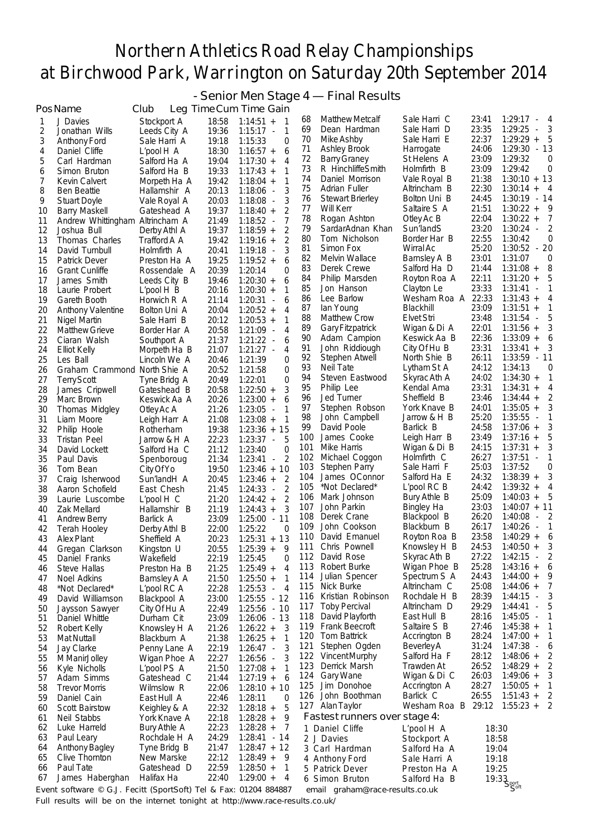- Senior Men Stage 4 — Final Results

|          | PosName                                                          | Club                            |                | Leg Time Cum Time Gain                                       |            |                                       |                              |                |                                                     |
|----------|------------------------------------------------------------------|---------------------------------|----------------|--------------------------------------------------------------|------------|---------------------------------------|------------------------------|----------------|-----------------------------------------------------|
| 1        | J Davies                                                         | Stockport A                     | 18:58          | $1:14:51 +$<br>-1                                            | 68         | <b>Matthew Metcalf</b>                | Sale Harri C                 | 23:41          | 1:29:17<br>4<br>$\overline{\phantom{a}}$            |
| 2        | Jonathan Wills                                                   | Leeds City A                    | 19:36          | $\mathbf{1}$<br>$1:15:17 -$                                  | 69         | Dean Hardman                          | Sale Harri D                 | 23:35          | 1:29:25<br>3<br>$\overline{\phantom{a}}$            |
| 3        | Anthony Ford                                                     | Sale Harri A                    | 19:18          | 1:15:33<br>0                                                 | 70         | Mike Ashby                            | Sale Harri E                 | 22:37          | $1:29:29 +$<br>5                                    |
| 4        | Daniel Cliffe                                                    | $L'$ pool $H$ A                 | 18:30          | $1:16:57 +$<br>6                                             | 71         | Ashley Brook                          | Harrogate                    | 24:06          | $1:29:30 - 13$                                      |
| 5        | Carl Hardman                                                     | Salford Ha A                    | 19:04          | $1:17:30 +$<br>4                                             | 72         | <b>Barry Graney</b>                   | St Helens A                  | 23:09          | 1:29:32<br>0                                        |
| 6        | Simon Bruton                                                     | Salford Ha B                    | 19:33          | $1:17:43 +$<br>1                                             | 73         | R HinchliffeSmith                     | Holmfirth B                  | 23:09          | 1:29:42<br>0                                        |
| 7        | Kevin Calvert                                                    | Morpeth Ha A                    | 19:42          | 1<br>$1:18:04 +$                                             | 74         | Daniel Morrison                       | Vale Royal B                 | 21:38          | $1:30:10 + 13$                                      |
| 8        | <b>Ben Beattie</b>                                               | Hallamshir A                    | 20:13          | 3<br>$1:18:06 -$                                             | 75<br>76   | Adrian Fuller                         | Altrincham B<br>Bolton Uni B | 22:30<br>24:45 | $1:30:14 +$<br>- 4<br>1:30:19 - 14                  |
| 9        | <b>Stuart Doyle</b>                                              | Vale Royal A                    | 20:03          | 3<br>$1:18:08 -$                                             | 77         | <b>Stewart Brierley</b><br>Will Kerr  | Saltaire S A                 | 21:51          | $1:30:22 +$<br>-9                                   |
| 10       | <b>Barry Maskell</b>                                             | Gateshead A                     | 19:37          | 2<br>$1:18:40 +$<br>$\overline{7}$                           | 78         | Rogan Ashton                          | Otley Ac B                   | 22:04          | $1:30:22 +$<br>7                                    |
| 11<br>12 | Andrew Whittingham Altrincham A<br>Joshua Bull                   | Derby Athl A                    | 21:49<br>19:37 | $1:18:52 -$<br>2<br>$1:18:59 +$                              | 79         | SardarAdnan Khan                      | Sun'landS                    | 23:20          | $1:30:24 -$<br>2                                    |
| 13       | Thomas Charles                                                   | Trafford A A                    | 19:42          | 2<br>$1:19:16 +$                                             | 80         | Tom Nicholson                         | Border Har B                 | 22:55          | 1:30:42<br>0                                        |
| 14       | David Turnbull                                                   | Holmfirth A                     | 20:41          | $1:19:18 -$<br>3                                             | 81         | Simon Fox                             | Wirral Ac                    | 25:20          | $1:30:52 - 20$                                      |
| 15       | Patrick Dever                                                    | Preston Ha A                    | 19:25          | $1:19:52 +$<br>6                                             | 82         | Melvin Wallace                        | Barnsley A B                 | 23:01          | 1:31:07<br>0                                        |
| 16       | <b>Grant Cunliffe</b>                                            | Rossendale A                    | 20:39          | 1:20:14<br>0                                                 | 83         | Derek Crewe                           | Salford Ha D                 | 21:44          | 8<br>$1:31:08 +$                                    |
| 17       | James Smith                                                      | Leeds City B                    | 19:46          | 6<br>$1:20:30 +$                                             | 84         | Philip Marsden                        | Royton Roa A                 | 22:11          | $1:31:20 +$<br>5                                    |
| 18       | Laurie Probert                                                   | $L'$ pool $H$ $B$               | 20:16          | $1:20:30 +$<br>1                                             | 85         | Jon Hanson                            | Clayton Le                   | 23:33          | 1:31:41<br>$\mathbf{1}$<br>$\overline{\phantom{a}}$ |
| 19       | Gareth Booth                                                     | Horwich R A                     | 21:14          | $1:20:31 -$<br>6                                             | 86         | Lee Barlow                            | Wesham Roa A                 | 22:33          | $1:31:43 +$<br>4                                    |
| 20       | <b>Anthony Valentine</b>                                         | Bolton Uni A                    | 20:04          | $1:20:52 +$<br>4                                             | 87         | lan Young                             | Blackhill                    | 23:09          | $1:31:51 +$<br>1                                    |
| 21       | Nigel Martin                                                     | Sale Harri B                    | 20:12          | $1:20:53 +$<br>1                                             | 88         | <b>Matthew Crow</b>                   | <b>Elvet Stri</b>            | 23:48          | 1:31:54<br>5<br>$\overline{\phantom{a}}$            |
| 22       | <b>Matthew Grieve</b>                                            | Border Har A                    | 20:58          | 4<br>$1:21:09 -$                                             | 89<br>90   | <b>Gary Fitzpatrick</b>               | Wigan & Di A                 | 22:01<br>22:36 | $1:31:56 +$<br>3<br>$1:33:09 +$                     |
| 23       | Ciaran Walsh                                                     | Southport A                     | 21:37          | $1:21:22 -$<br>6                                             | 91         | Adam Campion<br>John Riddiough        | Keswick Aa B<br>City Of Hu B | 23:31          | 6<br>1:33:41<br>3<br>$^{+}$                         |
| 24       | <b>Elliot Kelly</b>                                              | Morpeth Ha B                    | 21:07          | $1:21:27 -$<br>4                                             | 92         | Stephen Atwell                        | North Shie B                 | 26:11          | $1:33:59 - 11$                                      |
| 25<br>26 | Les Ball<br>Graham Crammond North Shie A                         | Lincoln We A                    | 20:46<br>20:52 | 1:21:39<br>0<br>1:21:58<br>0                                 | 93         | Neil Tate                             | Lytham St A                  | 24:12          | 1:34:13<br>0                                        |
| 27       | <b>Terry Scott</b>                                               | Tyne Bridg A                    | 20:49          | 1:22:01<br>0                                                 | 94         | Steven Eastwood                       | Skyrac Ath A                 | 24:02          | $1:34:30 +$<br>1                                    |
| 28       | James Cripwell                                                   | Gateshead B                     | 20:58          | $1:22:50 +$<br>3                                             | 95         | Philip Lee                            | Kendal Ama                   | 23:31          | $1:34:31 +$<br>4                                    |
| 29       | Marc Brown                                                       | Keswick Aa A                    | 20:26          | 6<br>$1:23:00 +$                                             | 96         | Jed Turner                            | Sheffield B                  | 23:46          | $1:34:44 +$<br>2                                    |
| 30       | Thomas Midgley                                                   | Otley Ac A                      | 21:26          | 1<br>$1:23:05 -$                                             | 97         | Stephen Robson                        | York Knave B                 | 24:01          | 3<br>$1:35:05 +$                                    |
| 31       | Liam Moore                                                       | Leigh Harr A                    | 21:08          | 1<br>$1:23:08 +$                                             | 98         | John Campbell                         | Jarrow & H B                 | 25:20          | 1:35:55<br>1<br>$\sim$                              |
| 32       | Philip Hoole                                                     | Rotherham                       | 19:38          | $1:23:36 + 15$                                               | 99         | David Poole                           | Barlick B                    | 24:58          | 3<br>$1:37:06 +$                                    |
| 33       | Tristan Peel                                                     | Jarrow & H A                    | 22:23          | $1:23:37 -$<br>5                                             | 100        | James Cooke                           | Leigh Harr B                 | 23:49          | $1:37:16 +$<br>5                                    |
| 34       | David Lockett                                                    | Salford Ha C                    | 21:12          | 1:23:40<br>0                                                 | 101        | Mike Harris                           | Wigan & Di B                 | 24:15          | $1:37:31 +$<br>3                                    |
| 35       | Paul Davis                                                       | Spenboroug                      | 21:34          | $\overline{2}$<br>1:23:41<br>$\overline{\phantom{a}}$        | 102        | Michael Coggon                        | Holmfirth C                  | 26:27          | $1:37:51 -$<br>1                                    |
| 36       | Tom Bean                                                         | City Of Yo                      | 19:50          | $1:23:46 + 10$                                               | 103<br>104 | <b>Stephen Parry</b><br>James OConnor | Sale Harri F<br>Salford Ha E | 25:03<br>24:32 | 1:37:52<br>0<br>$1:38:39 +$<br>3                    |
| 37       | Craig Isherwood                                                  | Sun'landH A                     | 20:45          | $1:23:46 +$<br>2                                             | 105        | *Not Declared*                        | L'pool RC B                  | 24:42          | $1:39:32 +$<br>4                                    |
| 38<br>39 | Aaron Schofield<br>Laurie Luscombe                               | East Chesh<br>$L'$ pool $H$ $C$ | 21:45<br>21:20 | 2<br>1:24:33<br>$\overline{\phantom{a}}$<br>2<br>$1:24:42 +$ | 106        | Mark Johnson                          | Bury Athle B                 | 25:09          | 5<br>$1:40:03 +$                                    |
| 40       | Zak Mellard                                                      | Hallamshir B                    | 21:19          | $1:24:43 +$<br>3                                             | 107        | John Parkin                           | <b>Bingley Ha</b>            | 23:03          | $1:40:07 + 11$                                      |
| 41       | <b>Andrew Berry</b>                                              | Barlick A                       | 23:09          | 1:25:00 - 11                                                 | 108        | Derek Crane                           | Blackpool B                  | 26:20          | 1:40:08<br>2<br>$\overline{\phantom{a}}$            |
| 42       | Terah Hooley                                                     | Derby Athl B                    | 22:00          | 1:25:22<br>0                                                 | 109        | John Cookson                          | Blackburn B                  | 26:17          | 1:40:26<br>1<br>$\overline{\phantom{a}}$            |
| 43       | <b>Alex Plant</b>                                                | Sheffield A                     | 20:23          | $1:25:31 + 13$                                               | 110        | David Emanuel                         | Royton Roa B                 | 23:58          | $1:40:29 +$<br>6                                    |
| 44       | Gregan Clarkson                                                  | Kingston U                      | 20:55          | $1:25:39 +$<br>9                                             | 111        | Chris Pownell                         | Knowslev H B                 | 24:53          | $1:40:50 +$                                         |
| 45       | Daniel Franks                                                    | Wakefield                       | 22:19          | $\overline{0}$<br>1:25:45                                    | 112        | David Rose                            | Skyrac Ath B                 | 27:22          | $1:42:15 -$<br>$\overline{\phantom{0}}^2$           |
| 46       | Steve Hallas                                                     | Preston Ha B                    | 21:25          | $1:25:49 +$<br>4                                             | 113        | Robert Burke                          | Wigan Phoe B                 | 25:28          | $1:43:16 +$<br>6                                    |
| 47       | Noel Adkins                                                      | Barnsley A A                    | 21:50          | $1:25:50 +$<br>1                                             | 114        | Julian Spencer                        | Spectrum S A                 | 24:43          | $1:44:00 +$<br>9                                    |
| 48       | *Not Declared*                                                   | L'pool RC A                     | 22:28          | $1:25:53 -$<br>$\overline{4}$                                | 115        | Nick Burke<br>Kristian Robinson       | Altrincham C<br>Rochdale H B | 25:08<br>28:39 | $1:44:06 +$<br>7<br>3<br>$1:44:15 -$                |
| 49       | David Williamson                                                 | Blackpool A                     | 23:00          | 1:25:55 - 12                                                 | 116<br>117 | <b>Toby Percival</b>                  | Altrincham D                 | 29:29          | $1:44:41 -$<br>5                                    |
| 50       | Jaysson Sawyer                                                   | City Of Hu A                    | 22:49          | $1:25:56 - 10$                                               | 118        | David Playforth                       | East Hull B                  | 28:16          | $1:45:05 -$<br>-1                                   |
| 51<br>52 | Daniel Whittle                                                   | Durham Cit                      | 23:09<br>21:26 | $1:26:06 - 13$<br>3                                          | 119        | Frank Beecroft                        | Saltaire S B                 | 27:46          | $1:45:38 +$<br>$\mathbf{1}$                         |
| 53       | Robert Kelly<br><b>Mat Nuttall</b>                               | Knowsley H A<br>Blackburn A     | 21:38          | $1:26:22 +$<br>1<br>$1:26:25 +$                              | 120        | <b>Tom Battrick</b>                   | Accrington B                 | 28:24          | $1:47:00 +$<br>1                                    |
| 54       | Jay Clarke                                                       | Penny Lane A                    | 22:19          | 3<br>$1:26:47 -$                                             | 121        | Stephen Ogden                         | BeverleyA                    | 31:24          | $1:47:38 -$<br>6                                    |
| 55       | M ManirJolley                                                    | Wigan Phoe A                    | 22:27          | 3<br>$1:26:56 -$                                             | 122        | Vincent Murphy                        | Salford Ha F                 | 28:12          | $1:48:06 +$<br>2                                    |
| 56       | Kyle Nicholls                                                    | L'pool PS A                     | 21:50          | $1:27:08 +$<br>1                                             | 123        | Derrick Marsh                         | Trawden At                   | 26:52          | $1:48:29 +$<br>2                                    |
| 57       | Adam Simms                                                       | Gateshead C                     | 21:44          | 6<br>$1:27:19 +$                                             | 124        | <b>Gary Wane</b>                      | Wigan & Di C                 | 26:03          | $1:49:06 +$<br>3                                    |
| 58       | <b>Trevor Morris</b>                                             | Wilmslow R                      | 22:06          | $1:28:10 + 10$                                               | 125        | Jim Donohoe                           | Accrington A                 | 28:27          | $1:50:05 +$<br>$\mathbf{1}$                         |
| 59       | Daniel Cain                                                      | East Hull A                     | 22:46          | 1:28:11<br>0                                                 | 126        | John Boothman                         | Barlick C                    | 26:55          | $1:51:43 +$<br>$\overline{2}$                       |
| 60       | <b>Scott Bairstow</b>                                            | Keighley & A                    | 22:32          | 5<br>$1:28:18 +$                                             |            | 127 Alan Taylor                       | Wesham Roa B 29:12           |                | $1:55:23 +$<br>2                                    |
| 61       | Neil Stabbs                                                      | York Knave A                    | 22:18          | 9<br>$1:28:28 +$                                             |            | Fastest runners over stage 4:         |                              |                |                                                     |
| 62       | Luke Harreld                                                     | Bury Athle A                    | 22:23          | $1:28:28 +$<br>7                                             |            | 1 Daniel Cliffe                       | $L'$ pool $H$ A              | 18:30          |                                                     |
| 63       | Paul Leary                                                       | Rochdale H A                    | 24:29          | $1:28:41 - 14$                                               |            | 2 J Davies                            | Stockport A                  | 18:58          |                                                     |
| 64       | <b>Anthony Bagley</b><br>Clive Thornton                          | Tyne Bridg B<br>New Marske      | 21:47<br>22:12 | $1:28:47 + 12$<br>$1:28:49 +$                                |            | 3 Carl Hardman                        | Salford Ha A                 | 19:04          |                                                     |
| 65<br>66 | Paul Tate                                                        | Gateshead D                     | 22:59          | 9<br>$1:28:50 +$<br>1                                        |            | 4 Anthony Ford<br>5 Patrick Dever     | Sale Harri A<br>Preston Ha A | 19:18<br>19:25 |                                                     |
| 67       | James Haberghan                                                  | Halifax Ha                      | 22:40          | $1:29:00 +$<br>4                                             |            | 6 Simon Bruton                        | Salford Ha B                 |                |                                                     |
|          | Event software © G.J. Fecitt (SportSoft) Tel & Fax: 01204 884887 |                                 |                |                                                              |            | email graham@race-results.co.uk       |                              |                | 15.<br>19:33<br>Sport<br>Syoft                      |

Full results will be on the internet tonight at http://www.race-results.co.uk/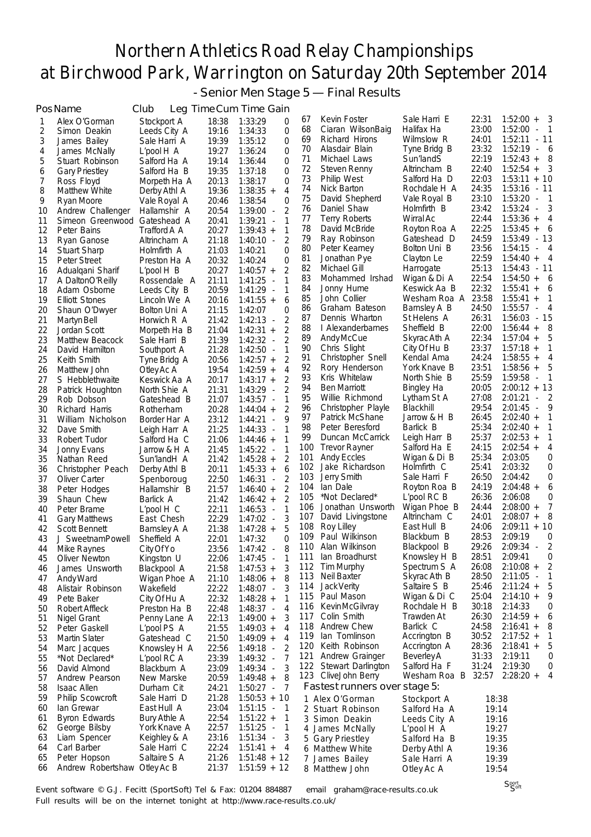- Senior Men Stage 5 — Final Results

|          | PosName                                      | Club                        |                | Leg Time Cum Time Gain                                       |            |                                   |                              |                |                                                       |
|----------|----------------------------------------------|-----------------------------|----------------|--------------------------------------------------------------|------------|-----------------------------------|------------------------------|----------------|-------------------------------------------------------|
| 1        | Alex O'Gorman                                | Stockport A                 | 18:38          | 1:33:29<br>0                                                 | 67         | Kevin Foster                      | Sale Harri E                 | 22:31          | $1:52:00 +$<br>3                                      |
| 2        | Simon Deakin                                 | Leeds City A                | 19:16          | 0<br>1:34:33                                                 | 68         | Ciaran WilsonBaig                 | Halifax Ha                   | 23:00          | 1:52:00<br>$\overline{1}$<br>$\blacksquare$           |
| 3        | James Bailey                                 | Sale Harri A                | 19:39          | 1:35:12<br>0                                                 | 69         | Richard Hirons                    | Wilmslow R                   | 24:01          | $1:52:11 - 11$                                        |
| 4        | James McNally                                | L'pool H A                  | 19:27          | 0<br>1:36:24                                                 | 70         | Alasdair Blain                    | Tyne Bridg B                 | 23:32          | $1:52:19 - 6$                                         |
| 5        | Stuart Robinson                              | Salford Ha A                | 19:14          | 0<br>1:36:44                                                 | 71         | Michael Laws                      | Sun'landS                    | 22:19          | $1:52:43 +$<br>8                                      |
| 6        | <b>Gary Priestley</b>                        | Salford Ha B                | 19:35          | 0<br>1:37:18                                                 | 72<br>73   | Steven Renny                      | Altrincham B                 | 22:40<br>22:03 | $1:52:54 +$<br>- 3<br>$1:53:11 + 10$                  |
| 7        | Ross Floyd                                   | Morpeth Ha A                | 20:13          | 1:38:17<br>0                                                 | 74         | <b>Philip West</b><br>Nick Barton | Salford Ha D<br>Rochdale H A | 24:35          | $1:53:16 - 11$                                        |
| 8        | Matthew White                                | Derby Athl A                | 19:36          | $\overline{4}$<br>$1:38:35 +$                                | 75         | David Shepherd                    | Vale Royal B                 | 23:10          | 1:53:20<br>$\overline{\phantom{0}}$<br>$\sim$         |
| 9<br>10  | Ryan Moore                                   | Vale Royal A                | 20:46<br>20:54 | 1:38:54<br>0<br>2<br>$1:39:00 -$                             | 76         | Daniel Shaw                       | Holmfirth B                  | 23:42          | $1:53:24 -$<br>3                                      |
| 11       | Andrew Challenger<br>Simeon Greenwood        | Hallamshir A<br>Gateshead A | 20:41          | $\mathbf{1}$<br>1:39:21<br>$\overline{\phantom{a}}$          | 77         | Terry Roberts                     | Wirral Ac                    | 22:44          | $1:53:36 +$<br>4                                      |
| 12       | Peter Bains                                  | Trafford A A                | 20:27          | 1<br>$1:39:43 +$                                             | 78         | David McBride                     | Royton Roa A                 | 22:25          | $1:53:45 +$<br>6                                      |
| 13       | Ryan Ganose                                  | Altrincham A                | 21:18          | 2<br>$1:40:10 -$                                             | 79         | Ray Robinson                      | Gateshead D                  | 24:59          | $1:53:49 - 13$                                        |
| 14       | <b>Stuart Sharp</b>                          | Holmfirth A                 | 21:03          | $\Omega$<br>1:40:21                                          | 80         | Peter Kearney                     | Bolton Uni B                 | 23:56          | $1:54:15 - 4$                                         |
| 15       | Peter Street                                 | Preston Ha A                | 20:32          | 1:40:24<br>0                                                 | 81         | Jonathan Pye                      | Clayton Le                   | 22:59          | $1:54:40 +$<br>- 4                                    |
| 16       | Adualgani Sharif                             | $L'pool$ H $B$              | 20:27          | 2<br>$1:40:57 +$                                             | 82         | Michael Gill                      | Harrogate                    | 25:13          | 1:54:43<br>- 11                                       |
| 17       | A DaltonO'Reilly                             | Rossendale A                | 21:11          | 1<br>1:41:25<br>$\sim$                                       | 83         | Mohammed Irshad                   | Wigan & Di A                 | 22:54          | $1:54:50 + 6$                                         |
| 18       | Adam Osborne                                 | Leeds City B                | 20:59          | 1<br>$1:41:29 -$                                             | 84         | Jonny Hume                        | Keswick Aa B                 | 22:32          | $1:55:41 +$<br>6                                      |
| 19       | <b>Elliott Stones</b>                        | Lincoln We A                | 20:16          | 6<br>$1:41:55 +$                                             | 85         | John Collier                      | Wesham Roa A                 | 23:58          | 1:55:41<br>-1<br>$+$                                  |
| 20       | Shaun O'Dwyer                                | Bolton Uni A                | 21:15          | 0<br>1:42:07                                                 | 86<br>87   | Graham Bateson<br>Dennis Wharton  | Barnsley A B<br>St Helens A  | 24:50<br>26:31 | 1:55:57<br>4<br>$\sim 100$<br>$1:56:03 - 15$          |
| 21       | Martyn Bell                                  | Horwich R A                 | 21:42          | 2<br>$1:42:13 -$                                             | 88         | I Alexanderbarnes                 | Sheffield B                  | 22:00          | 8<br>$1:56:44 +$                                      |
| 22       | Jordan Scott                                 | Morpeth Ha B                | 21:04          | 2<br>$1:42:31 +$<br>$1:42:32 -$                              | 89         | Andy McCue                        | Skyrac Ath A                 | 22:34          | $1:57:04 +$<br>5                                      |
| 23<br>24 | Matthew Beacock<br>David Hamilton            | Sale Harri B                | 21:39<br>21:28 | 2<br>$1:42:50 -$<br>1                                        | 90         | Chris Slight                      | City Of Hu B                 | 23:37          | $1:57:18 +$<br>1                                      |
| 25       | Keith Smith                                  | Southport A<br>Tyne Bridg A | 20:56          | 2<br>$1:42:57 +$                                             | 91         | Christopher Snell                 | Kendal Ama                   | 24:24          | $1:58:55 +$<br>4                                      |
| 26       | Matthew John                                 | Otley Ac A                  | 19:54          | $\overline{4}$<br>$1:42:59 +$                                | 92         | Rory Henderson                    | York Knave B                 | 23:51          | $1:58:56 +$<br>5                                      |
| 27       | S Hebblethwaite                              | Keswick Aa A                | 20:17          | 2<br>$1:43:17 +$                                             | 93         | Kris Whitelaw                     | North Shie B                 | 25:59          | 1:59:58<br>$\overline{1}$<br>$\overline{\phantom{a}}$ |
| 28       | Patrick Houghton                             | North Shie A                | 21:31          | 2<br>1:43:29<br>$\overline{\phantom{a}}$                     | 94         | <b>Ben Marriott</b>               | Bingley Ha                   | 20:05          | $2:00:12 + 13$                                        |
| 29       | Rob Dobson                                   | Gateshead B                 | 21:07          | $\mathbf{1}$<br>$1:43:57 -$                                  | 95         | Willie Richmond                   | Lytham St A                  | 27:08          | 2:01:21<br>$\blacksquare$                             |
| 30       | Richard Harris                               | Rotherham                   | 20:28          | 2<br>$1:44:04 +$                                             | 96         | Christopher Playle                | Blackhill                    | 29:54          | 2:01:45<br>9<br>$\overline{\phantom{a}}$              |
| 31       | William Nicholson                            | Border Har A                | 23:12          | 9<br>1:44:21<br>$\blacksquare$                               | 97         | Patrick McShane                   | Jarrow & H B                 | 26:45          | $2:02:40 +$<br>1                                      |
| 32       | Dave Smith                                   | Leigh Harr A                | 21:25          | $\mathbf{1}$<br>1:44:33<br>$\sim$                            | 98         | Peter Beresford                   | Barlick B                    | 25:34          | $2:02:40 +$<br>1                                      |
| 33       | Robert Tudor                                 | Salford Ha C                | 21:06          | 1<br>$1:44:46 +$                                             | 99         | Duncan McCarrick                  | Leigh Harr B                 | 25:37          | $2:02:53 +$<br>1                                      |
| 34       | Jonny Evans                                  | Jarrow & H A                | 21:45          | 1<br>$1:45:22 -$                                             | 100<br>101 | <b>Trevor Rayner</b>              | Salford Ha E                 | 24:15<br>25:34 | $2:02:54 +$<br>4<br>2:03:05<br>0                      |
| 35       | Nathan Reed                                  | Sun'landH A                 | 21:42          | $\overline{2}$<br>$1:45:28 +$                                | 102        | Andy Eccles<br>Jake Richardson    | Wigan & Di B<br>Holmfirth C  | 25:41          | 2:03:32<br>0                                          |
| 36       | Christopher Peach                            | Derby Athl B                | 20:11          | 6<br>$1:45:33 +$                                             | 103        | Jerry Smith                       | Sale Harri F                 | 26:50          | 0<br>2:04:42                                          |
| 37<br>38 | Oliver Carter<br>Peter Hodges                | Spenboroug<br>Hallamshir B  | 22:50<br>21:57 | 2<br>1:46:31<br>$\overline{\phantom{a}}$<br>2<br>$1:46:40 +$ | 104        | lan Dale                          | Royton Roa B                 | 24:19          | $2:04:48 +$<br>6                                      |
| 39       | Shaun Chew                                   | Barlick A                   | 21:42          | 2<br>$1:46:42 +$                                             | 105        | *Not Declared*                    | L'pool RC B                  | 26:36          | 2:06:08<br>0                                          |
| 40       | Peter Brame                                  | $L'$ pool $H$ $C$           | 22:11          | 1<br>1:46:53<br>$\sim$                                       | 106        | Jonathan Unsworth                 | Wigan Phoe B                 | 24:44          | 7<br>$2:08:00 +$                                      |
| 41       | <b>Gary Matthews</b>                         | East Chesh                  | 22:29          | 3<br>$1:47:02 -$                                             | 107        | David Livingstone                 | Altrincham C                 | 24:01          | $2:08:07 +$<br>8                                      |
| 42       | Scott Bennett                                | Barnsley A A                | 21:38          | 5<br>$1:47:28 +$                                             | 108        | Roy Lilley                        | East Hull B                  | 24:06          | $2:09:11 + 10$                                        |
| 43       | J SweetnamPowell                             | Sheffield A                 | 22:01          | 0<br>1:47:32                                                 | 109        | Paul Wilkinson                    | Blackburn B                  | 28:53          | 2:09:19<br>0                                          |
| 44       | Mike Raynes                                  | <b>City Of Yo</b>           | 23:56          | 8<br>1:47:42                                                 |            | 110 Alan Wilkinson                | Blackpool B                  | 29:26          | $2:09:34 -$<br>2                                      |
| 45       | Oliver Newton                                | Kingston U                  | 22:06          | $1:47:45 -$<br>1                                             | 111        | lan Broadhurst                    | Knowsley H B                 | 28:51          | 2:09:41<br>0                                          |
| 46       | James Unsworth                               | Blackpool A                 | 21:58          | 3<br>$1:47:53 +$                                             | 112        | Tim Murphy                        | Spectrum S A                 | 26:08          | $2:10:08 +$<br>2                                      |
| 47       | Andy Ward                                    | Wigan Phoe A                | 21:10          | 8<br>$1:48:06 +$                                             | 113        | Neil Baxter                       | Skyrac Ath B                 | 28:50          | $2:11:05 -$<br>1<br>5                                 |
| 48       | Alistair Robinson                            | Wakefield                   | 22:22          | 1:48:07 -<br>3                                               | 114<br>115 | Jack Verity<br>Paul Mason         | Saltaire S B<br>Wigan & Di C | 25:46<br>25:04 | $2:11:24 +$<br>$2:14:10 +$<br>9                       |
| 49       | Pete Baker                                   | City Of Hu A                | 22:32          | 1<br>$1:48:28 +$                                             | 116        | <b>KevinMcGilvray</b>             | Rochdale H B                 | 30:18          | 2:14:33<br>0                                          |
| 50       | Robert Affleck                               | Preston Ha B                | 22:48<br>22:13 | 4<br>$1:48:37 -$<br>3                                        | 117        | Colin Smith                       | Trawden At                   | 26:30          | $2:14:59 +$<br>6                                      |
| 51<br>52 | Nigel Grant<br>Peter Gaskell                 | Penny Lane A<br>L'pool PS A | 21:55          | $1:49:00 +$<br>4<br>$1:49:03 +$                              | 118        | <b>Andrew Chew</b>                | Barlick C                    | 24:58          | 2:16:41<br>8<br>$^{\mathrm{+}}$                       |
| 53       | <b>Martin Slater</b>                         | Gateshead C                 | 21:50          | 4<br>$1:49:09 +$                                             | 119        | lan Tomlinson                     | Accrington B                 | 30:52          | $2:17:52 +$<br>$\mathbf{1}$                           |
| 54       | Marc Jacques                                 | Knowsley H A                | 22:56          | 2<br>$1:49:18 -$                                             | 120        | Keith Robinson                    | Accrington A                 | 28:36          | 5<br>$2:18:41 +$                                      |
| 55       | *Not Declared*                               | L'pool RC A                 | 23:39          | 1:49:32 -<br>7                                               | 121        | Andrew Grainger                   | <b>Beverley A</b>            | 31:33          | 2:19:11<br>0                                          |
| 56       | David Almond                                 | Blackburn A                 | 23:09          | 3<br>$1:49:34 -$                                             |            | 122 Stewart Darlington            | Salford Ha F                 | 31:24          | 2:19:30<br>0                                          |
| 57       | Andrew Pearson                               | New Marske                  | 20:59          | $1:49:48 +$<br>8                                             |            | 123 CliveJohn Berry               | Wesham Roa B 32:57           |                | $2:28:20 +$<br>4                                      |
| 58       | <b>Isaac Allen</b>                           | Durham Cit                  | 24:21          | $1:50:27 -$<br>7                                             |            | Fastest runners over stage 5:     |                              |                |                                                       |
| 59       | <b>Philip Scowcroft</b>                      | Sale Harri D                | 21:28          | $1:50:53 + 10$                                               |            | 1 Alex O'Gorman                   | Stockport A                  | 18:38          |                                                       |
| 60       | lan Grewar                                   | East Hull A                 | 23:04          | $1:51:15 -$<br>-1                                            |            | 2 Stuart Robinson                 | Salford Ha A                 | 19:14          |                                                       |
| 61       | <b>Byron Edwards</b>                         | <b>Bury Athle A</b>         | 22:54          | $1:51:22 +$<br>1                                             |            | 3 Simon Deakin                    | Leeds City A                 | 19:16          |                                                       |
| 62       | George Bilsby                                | York Knave A                | 22:57          | 1:51:25<br>1<br>$\overline{\phantom{a}}$                     |            | 4 James McNally                   | L'pool H A                   | 19:27          |                                                       |
| 63       | Liam Spencer                                 | Keighley & A                | 23:16          | $1:51:34 -$<br>3                                             |            | 5 Gary Priestley                  | Salford Ha B                 | 19:35          |                                                       |
| 64       | Carl Barber                                  | Sale Harri C                | 22:24          | $1:51:41 +$<br>4                                             |            | 6 Matthew White                   | Derby Athl A                 | 19:36          |                                                       |
| 65<br>66 | Peter Hopson<br>Andrew Robertshaw Otley Ac B | Saltaire S A                | 21:26<br>21:37 | $1:51:48 + 12$<br>$1:51:59 + 12$                             |            | 7 James Bailey<br>8 Matthew John  | Sale Harri A<br>Otley Ac A   | 19:39<br>19:54 |                                                       |
|          |                                              |                             |                |                                                              |            |                                   |                              |                |                                                       |

Event software © G.J. Fecitt (SportSoft) Tel & Fax: 01204 884887 email graham@race-results.co.uk Full results will be on the internet tonight at http://www.race-results.co.uk/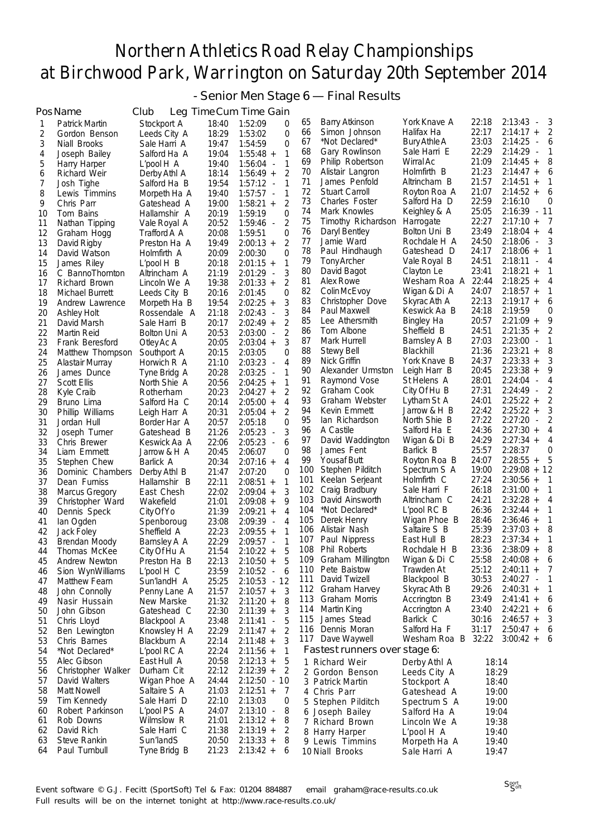- Senior Men Stage 6 — Final Results

|          | PosName                             | Club                              |                | Leg Time Cum Time Gain                   |          |                                       |                              |                |                                          |
|----------|-------------------------------------|-----------------------------------|----------------|------------------------------------------|----------|---------------------------------------|------------------------------|----------------|------------------------------------------|
| 1        | Patrick Martin                      | Stockport A                       | 18:40          | 1:52:09<br>0                             | 65       | <b>Barry Atkinson</b>                 | York Knave A                 | 22:18          | 2:13:43<br>3<br>$\overline{\phantom{a}}$ |
| 2        | Gordon Benson                       | Leeds City A                      | 18:29          | $\Omega$<br>1:53:02                      | 66       | Simon Johnson                         | Halifax Ha                   | 22:17          | $2:14:17 +$<br>2                         |
| 3        | Niall Brooks                        | Sale Harri A                      | 19:47          | 1:54:59<br>0                             | 67       | *Not Declared*                        | Bury Athle A                 | 23:03          | 2:14:25<br>6<br>$\overline{\phantom{a}}$ |
| 4        | Joseph Bailey                       | Salford Ha A                      | 19:04          | $1:55:48 +$<br>1                         | 68       | Gary Rowlinson                        | Sale Harri E                 | 22:29          | 2:14:29<br>1<br>$\sim$                   |
| 5        | Harry Harper                        | L'pool H A                        | 19:40          | $\mathbf{1}$<br>$1:56:04 -$              | 69       | Philip Robertson                      | Wirral Ac                    | 21:09          | $2:14:45 +$<br>8                         |
| 6        | Richard Weir                        | Derby Athl A                      | 18:14          | 2<br>$1:56:49 +$                         | 70       | Alistair Langron                      | Holmfirth B                  | 21:23          | $2:14:47 +$<br>6                         |
| 7        | Josh Tighe                          | Salford Ha B                      | 19:54          | $1:57:12 -$<br>1                         | 71       | James Penfold                         | Altrincham B                 | 21:57          | $2:14:51 +$<br>1                         |
| 8        | Lewis Timmins                       | Morpeth Ha A                      | 19:40          | $\mathbf{1}$<br>$1:57:57 -$              | 72       | Stuart Carroll                        | Royton Roa A                 | 21:07          | $2:14:52 +$<br>6                         |
| 9        | Chris Parr                          | Gateshead A                       | 19:00          | 2<br>$1:58:21 +$                         | 73       | <b>Charles Foster</b>                 | Salford Ha D                 | 22:59          | 2:16:10<br>0                             |
| 10       | Tom Bains                           | Hallamshir A                      | 20:19          | 1:59:19<br>0                             | 74       | Mark Knowles<br>Timothy Richardson    | Keighley & A                 | 25:05<br>22:27 | $2:16:39 - 11$                           |
| 11       | Nathan Tipping                      | Vale Royal A                      | 20:52          | 2<br>$1:59:46 -$                         | 75<br>76 | Daryl Bentley                         | Harrogate<br>Bolton Uni B    | 23:49          | $2:17:10 +$<br>7<br>$2:18:04 +$<br>4     |
| 12       | Graham Hogg                         | Trafford A A                      | 20:08          | $\Omega$<br>1:59:51                      | 77       | Jamie Ward                            | Rochdale H A                 | 24:50          | 2:18:06<br>3<br>$\overline{\phantom{a}}$ |
| 13       | David Rigby                         | Preston Ha A                      | 19:49<br>20:09 | 2<br>$2:00:13 +$<br>$\Omega$             | 78       | Paul Hindhaugh                        | Gateshead D                  | 24:17          | $2:18:06 +$<br>1                         |
| 14       | David Watson                        | Holmfirth A                       |                | 2:00:30<br>$2:01:15 +$<br>1              | 79       | Tony Archer                           | Vale Royal B                 | 24:51          | 2:18:11<br>4<br>$\overline{\phantom{a}}$ |
| 15<br>16 | James Riley<br>C BannoThornton      | $L'$ pool $H$ $B$<br>Altrincham A | 20:18<br>21:19 | 3<br>$2:01:29 -$                         | 80       | David Bagot                           | Clayton Le                   | 23:41          | $2:18:21 +$<br>1                         |
| 17       | Richard Brown                       | Lincoln We A                      | 19:38          | 2<br>$2:01:33 +$                         | 81       | Alex Rowe                             | Wesham Roa A 22:44           |                | $2:18:25 +$<br>4                         |
| 18       | Michael Burrett                     | Leeds City B                      | 20:16          | $\Omega$<br>2:01:45                      | 82       | Colin McEvoy                          | Wigan & Di A                 | 24:07          | $2:18:57 +$<br>1                         |
| 19       | Andrew Lawrence                     | Morpeth Ha B                      | 19:54          | 3<br>$2:02:25 +$                         | 83       | Christopher Dove                      | Skyrac Ath A                 | 22:13          | $2:19:17 +$<br>6                         |
| 20       | <b>Ashley Holt</b>                  | Rossendale A                      | 21:18          | 3<br>2:02:43<br>$\overline{\phantom{a}}$ | 84       | Paul Maxwell                          | Keswick Aa B                 | 24:18          | 2:19:59<br>0                             |
| 21       | David Marsh                         | Sale Harri B                      | 20:17          | $2:02:49 +$<br>2                         | 85       | Lee Athersmith                        | Bingley Ha                   | 20:57          | $2:21:09 +$<br>9                         |
| 22       | Martin Reid                         | Bolton Uni A                      | 20:53          | 2<br>$2:03:00 -$                         | 86       | Tom Albone                            | Sheffield B                  | 24:51          | $2:21:35 +$<br>2                         |
| 23       | Frank Beresford                     | Otley Ac A                        | 20:05          | 3<br>$2:03:04 +$                         | 87       | Mark Hurrell                          | Barnsley A B                 | 27:03          | $2:23:00 -$                              |
| 24       | Matthew Thompson                    | Southport A                       | 20:15          | 2:03:05<br>0                             | 88       | Stewy Bell                            | Blackhill                    | 21:36          | 8<br>$2:23:21 +$                         |
| 25       | Alastair Murray                     | Horwich R A                       | 21:10          | 4<br>2:03:23<br>$\overline{\phantom{a}}$ | 89       | Nick Griffin                          | York Knave B                 | 24:37          | $2:23:33 +$<br>3                         |
| 26       | James Dunce                         | Tyne Bridg A                      | 20:28          | 2:03:25<br>1<br>$\sim$                   | 90       | Alexander Urmston                     | Leigh Harr B                 | 20:45          | $2:23:38 +$<br>9                         |
| 27       | Scott Ellis                         | North Shie A                      | 20:56          | $2:04:25 +$<br>1                         | 91       | Raymond Vose                          | St Helens A                  | 28:01          | 2:24:04<br>4<br>$\overline{\phantom{a}}$ |
| 28       | Kyle Craib                          | Rotherham                         | 20:23          | 2<br>$2:04:27 +$                         | 92       | Graham Cook                           | City Of Hu B                 | 27:31          | 2:24:49<br>2<br>$\sim$                   |
| 29       | Bruno Lima                          | Salford Ha C                      | 20:14          | 4<br>$2:05:00 +$                         | 93       | Graham Webster                        | Lytham St A                  | 24:01          | $2:25:22 +$<br>2                         |
| 30       | Phillip Williams                    | Leigh Harr A                      | 20:31          | 2<br>$2:05:04 +$                         | 94       | Kevin Emmett                          | Jarrow & H B                 | 22:42          | $2:25:22 +$<br>3                         |
| 31       | Jordan Hull                         | Border Har A                      | 20:57          | 2:05:18<br>0                             | 95       | lan Richardson                        | North Shie B                 | 27:22          | 2:27:20<br>2<br>$\overline{\phantom{a}}$ |
| 32       | Joseph Turner                       | Gateshead B                       | 21:26          | 3<br>$2:05:23 -$                         | 96       | A Castile                             | Salford Ha E                 | 24:36          | $2:27:30 +$<br>4<br>4                    |
| 33       | Chris Brewer                        | Keswick Aa A                      | 22:06          | 2:05:23<br>6<br>$\overline{\phantom{a}}$ | 97<br>98 | David Waddington<br>James Fent        | Wigan & Di B<br>Barlick B    | 24:29<br>25:57 | $2:27:34 +$<br>2:28:37<br>0              |
| 34       | Liam Emmett                         | Jarrow & H A                      | 20:45          | 2:06:07<br>0                             | 99       | <b>Yousaf Butt</b>                    | Royton Roa B                 | 24:07          | $2:28:55 +$<br>5                         |
| 35       | Stephen Chew                        | Barlick A                         | 20:34          | 4<br>$2:07:16 +$<br>$\Omega$             | 100      | Stephen Pilditch                      | Spectrum S A                 | 19:00          | $2:29:08 + 12$                           |
| 36<br>37 | Dominic Chambers<br>Dean Furniss    | Derby Athl B<br>Hallamshir B      | 21:47<br>22:11 | 2:07:20<br>$2:08:51 +$<br>1              | 101      | Keelan Serjeant                       | Holmfirth C                  | 27:24          | $2:30:56 +$<br>1                         |
| 38       | <b>Marcus Gregory</b>               | East Chesh                        | 22:02          | 3<br>$2:09:04 +$                         | 102      | Craig Bradbury                        | Sale Harri F                 | 26:18          | $2:31:00 +$<br>1                         |
| 39       | Christopher Ward                    | Wakefield                         | 21:01          | $2:09:08 +$<br>9                         | 103      | David Ainsworth                       | Altrincham C                 | 24:21          | $2:32:28 +$<br>4                         |
| 40       | Dennis Speck                        | City Of Yo                        | 21:39          | $\overline{4}$<br>$2:09:21 +$            | 104      | *Not Declared*                        | $L'$ pool RC B               | 26:36          | $2:32:44 +$<br>1                         |
| 41       | lan Ogden                           | Spenboroug                        | 23:08          | 4<br>$2:09:39 -$                         | 105      | Derek Henry                           | Wigan Phoe B                 | 28:46          | $2:36:46 +$<br>1                         |
| 42       | Jack Foley                          | Sheffield A                       | 22:23          | $2:09:55 +$<br>1                         | 106      | Alistair Nash                         | Saltaire S B                 | 25:39          | $2:37:03 +$<br>8                         |
| 43       | <b>Brendan Moody</b>                | Barnsley A A                      | 22:29          | 2:09:57<br>1<br>$\overline{\phantom{a}}$ | 107      | Paul Nippress                         | East Hull B                  | 28:23          | $2:37:34 +$<br>1                         |
| 44       | Thomas McKee                        | City Of Hu A                      | 21:54          | 5<br>$2:10:22 +$                         | 108      | Phil Roberts                          | Rochdale H B                 | 23:36          | $2:38:09 +$<br>8                         |
| 45       | Andrew Newton                       | Preston Ha B                      | 22:13          | $2:10:50 +$<br>5                         |          | 109 Graham Millington                 | Wigan & Di C                 | 25:58          | $2:40:08 +$<br>6                         |
| 46       | Sion WynWilliams                    | L'pool H C                        | 23:59          | 2:10:52 -<br>6                           | 110      | Pete Baistow                          | Trawden At                   | 25:12          | $2:40:11 +$<br>7                         |
| 47       | Matthew Fearn                       | Sun'landH A                       | 25:25          | 2:10:53 - 12                             | 111      | David Twizell                         | Blackpool B                  | 30:53          | $2:40:27 -$<br>-1                        |
| 48       | John Connolly                       | Penny Lane A                      | 21:57          | 3<br>$2:10:57 +$                         | 112      | Graham Harvey                         | Skyrac Ath B                 | 29:26          | $2:40:31 +$<br>1                         |
| 49       | Nasir Hussain                       | New Marske                        | 21:32          | 8<br>$2:11:20 +$                         | 113      | Graham Morris                         | Accrington B                 | 23:49          | $2:41:41 +$<br>6                         |
| 50       | John Gibson                         | Gateshead C                       | 22:30          | 3<br>$2:11:39 +$                         |          | 114 Martin King                       | Accrington A                 | 23:40          | $2:42:21 +$<br>6                         |
| 51       | Chris Lloyd                         | Blackpool A                       | 23:48          | $2:11:41 -$<br>5                         | 115      | James Stead                           | Barlick C<br>Salford Ha F    | 30:16          | $2:46:57 +$<br>3                         |
| 52       | Ben Lewington                       | Knowsley H A                      | 22:29          | 2<br>$2:11:47 +$                         | 116      | Dennis Moran                          | Wesham Roa B 32:22           | 31:17          | $2:50:47 +$<br>- 6<br>$3:00:42 + 6$      |
| 53       | Chris Barnes                        | Blackburn A                       | 22:14          | 3<br>$2:11:48 +$                         |          | 117 Dave Waywell                      |                              |                |                                          |
| 54       | *Not Declared*                      | L'pool RC A                       | 22:24          | $2:11:56 +$<br>1                         |          | Fastest runners over stage 6:         |                              |                |                                          |
| 55<br>56 | Alec Gibson                         | East Hull A                       | 20:58<br>22:12 | $2:12:13 +$<br>5<br>2                    |          | 1 Richard Weir                        | Derby Athl A                 | 18:14          |                                          |
| 57       | Christopher Walker<br>David Walters | Durham Cit<br>Wigan Phoe A        | 24:44          | $2:12:39 +$<br>$2:12:50 - 10$            |          | 2 Gordon Benson                       | Leeds City A                 | 18:29          |                                          |
| 58       | <b>Matt Nowell</b>                  | Saltaire S A                      | 21:03          | $2:12:51 +$<br>$\prime$                  |          | 3 Patrick Martin                      | Stockport A                  | 18:40          |                                          |
| 59       | Tim Kennedy                         | Sale Harri D                      | 22:10          | 2:13:03<br>0                             |          | 4 Chris Parr                          | Gateshead A                  | 19:00          |                                          |
| 60       | Robert Parkinson                    | L'pool PS A                       | 24:07          | $2:13:10 -$<br>8                         |          | 5 Stephen Pilditch<br>6 Joseph Bailey | Spectrum S A<br>Salford Ha A | 19:00<br>19:04 |                                          |
| 61       | Rob Downs                           | Wilmslow R                        | 21:01          | $2:13:12 +$<br>8                         |          | 7 Richard Brown                       | Lincoln We A                 | 19:38          |                                          |
| 62       | David Rich                          | Sale Harri C                      | 21:38          | $2:13:19 +$<br>2                         |          | 8 Harry Harper                        | $L'$ pool $H$ A              | 19:40          |                                          |
| 63       | Steve Rankin                        | Sun'landS                         | 20:50          | $2:13:33 +$<br>8                         |          | 9 Lewis Timmins                       | Morpeth Ha A                 | 19:40          |                                          |
| 64       | Paul Turnbull                       | Tyne Bridg B                      | 21:23          | $2:13:42 +$<br>6                         |          | 10 Niall Brooks                       | Sale Harri A                 | 19:47          |                                          |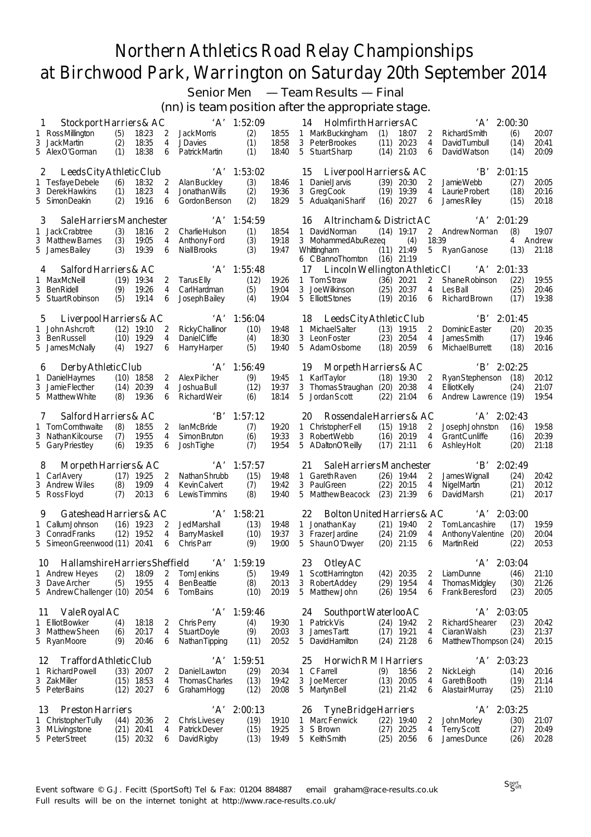Senior Men — Team Results — Final

(nn) is team position after the appropriate stage.

| 1            | Stockport Harriers & AC                   |              |                              |        |                                        | $'A'$ 1:52:09 |                | Holmfirth Harriers AC<br>'A'<br>2:00:30<br>14                                                                                                 |                |
|--------------|-------------------------------------------|--------------|------------------------------|--------|----------------------------------------|---------------|----------------|-----------------------------------------------------------------------------------------------------------------------------------------------|----------------|
|              | 1 RossMillington                          | (5)          | 18:23                        | 2      | Jack Morris                            | (2)           | 18:55          | (1)<br>18:07<br>(6)<br>1 MarkBuckingham<br>2<br><b>RichardSmith</b>                                                                           | 20:07          |
|              | 3 JackMartin                              | (2)          | 18:35                        | 4      | <b>JDavies</b>                         | (1)           | 18:58          | 3 Peter Brookes<br>(11)<br>20:23<br>4<br>David Turnbull<br>(14)                                                                               | 20:41          |
|              | 5 AlexO'Gorman                            | (1)          | 18:38                        | 6      | Patrick Martin                         | (1)           | 18:40          | 5 Stuart Sharp<br>(14)<br>21:03<br>6<br>David Watson<br>(14)                                                                                  | 20:09          |
| $\mathbf{2}$ | Leeds City Athletic Club                  |              |                              |        | 'A'                                    | 1:53:02       |                | $\Delta$<br>2:01:15<br>Liverpool Harriers & AC<br>15                                                                                          |                |
|              | 1 Tesfaye Debele                          | (6)          | 18:32                        | 2      | Alan Buckley                           | (3)           | 18:46          | 1 Daniel Jarvis<br>$(39)$ 20:30<br>(27)<br>2<br><b>JamieWebb</b>                                                                              | 20:05          |
|              | 3 Derek Hawkins                           | (1)          | 18:23                        | 4      | Jonathan Wills                         | (2)           | 19:36          | 3 GregCook<br>$(19)$ 19:39<br>4<br>Laurie Probert<br>(18)                                                                                     | 20:16          |
|              | 5 SimonDeakin                             | (2)          | 19:16                        | 6      | Gordon Benson                          | (2)           | 18:29          | 5 Adualgani Sharif<br>$(16)$ 20:27<br>(15)<br>6<br>James Riley                                                                                | 20:18          |
|              |                                           |              |                              |        |                                        |               |                |                                                                                                                                               |                |
| 3            | Sale Harriers Manchester                  |              |                              |        | 'A'                                    | 1:54:59       |                | Altrincham & District AC<br>$'A'$ 2:01:29<br>16                                                                                               |                |
|              | 1 JackCrabtree                            | (3)          | 18:16                        | 2      | Charlie Hulson                         | (1)           | 18:54          | 1 DavidNorman<br>$(14)$ 19:17<br>(8)<br>2 Andrew Norman                                                                                       | 19:07          |
|              | 3 Matthew Barnes                          | (3)          | 19:05                        | 4      | Anthony Ford                           | (3)           | 19:18          | 18:39<br>3 Mohammed Abu Rezeg<br>(4)<br>$\overline{4}$                                                                                        | Andrew         |
|              | 5 James Bailey                            | (3)          | 19:39                        | 6      | Niall Brooks                           | (3)           | 19:47          | Whittingham<br>$(11)$ 21:49<br>5<br>RyanGanose<br>(13)<br>6 CBannoThornton<br>$(16)$ 21:19                                                    | 21:18          |
| 4            | Salford Harriers & AC                     |              |                              |        |                                        | $'A'$ 1:55:48 |                | 17<br>Lincoln Wellington Athletic Cl<br>$'A'$ 2:01:33                                                                                         |                |
|              | 1 MaxMcNeill                              |              | $(19)$ 19:34                 | 2      | <b>Tarus Elly</b>                      | (12)          | 19:26          | 1 TomStraw<br>2<br>Shane Robinson<br>(22)<br>$(36)$ 20:21                                                                                     | 19:55          |
|              | 3 BenRidell                               | (9)          | 19:26                        | 4      | CarlHardman                            | (5)           | 19:04          | 3<br>(25)<br>20:37<br>4<br>Les Ball<br>(25)<br><b>JoeWilkinson</b>                                                                            | 20:46          |
|              | 5 Stuart Robinson                         | (5)          | 19:14                        | 6      | Joseph Bailey                          | (4)           | 19:04          | 5 Elliott Stones<br>(19)<br>20:16<br>6<br>Richard Brown<br>(17)                                                                               | 19:38          |
|              |                                           |              |                              |        |                                        |               |                |                                                                                                                                               |                |
| 5            | Liverpool Harriers & AC                   |              |                              |        |                                        | $'A'$ 1:56:04 |                | B'<br>2:01:45<br>Leeds City Athletic Club<br>18                                                                                               |                |
|              | 1 John Ashcroft                           |              | $(12)$ 19:10                 | 2      | <b>RickyChallinor</b>                  | (10)          | 19:48          | 1 Michael Salter<br>$(13)$ 19:15<br>(20)<br>2<br>Dominic Easter                                                                               | 20:35          |
|              | 3 Ben Russell                             |              | $(10)$ 19:29                 | 4      | Daniel Cliffe                          | (4)           | 18:30          | 3 LeonFoster<br>(23)<br>20:54<br>4<br><b>JamesSmith</b><br>(17)                                                                               | 19:46          |
|              | 5 JamesMcNally                            | (4)          | 19:27                        | 6      | <b>Harry Harper</b>                    | (5)           | 19:40          | 5 Adam Osborne<br>(18)<br>20:59<br>6<br>Michael Burrett<br>(18)                                                                               | 20:16          |
| 6            | Derby Athletic Club                       |              |                              |        | 'A'                                    | 1:56:49       |                | $'B'$ 2:02:25<br>Morpeth Harriers & AC<br>19                                                                                                  |                |
|              | 1 DanielHaymes                            |              | $(10)$ 18:58                 | 2      | Alex Pilcher                           | (9)           | 19:45          | 1 KarlTaylor<br>$(18)$ 19:30<br>2<br>RyanStephenson (18)                                                                                      | 20:12          |
|              | 3 JamieFlecther                           | (14)         | 20:39                        | 4      | Joshua Bull                            | (12)          | 19:37          | 3 Thomas Straughan (20)<br>20:38<br>4<br><b>Elliot Kelly</b><br>(24)                                                                          | 21:07          |
|              | 5 Matthew White                           | (8)          | 19:36                        | 6      | <b>Richard Weir</b>                    | (6)           | 18:14          | 21:04<br>5 Jordan Scott<br>(22)<br>6<br>Andrew Lawrence (19)                                                                                  | 19:54          |
|              |                                           |              |                              |        |                                        |               |                |                                                                                                                                               |                |
| 7            | Salford Harriers & AC                     |              |                              |        | $\Delta$                               | 1:57:12       |                | $'A'$ 2:02:43<br>20<br>Rossendale Harriers & AC                                                                                               |                |
|              | 1 Tom Cornthwaite<br>3 Nathan Kilcourse   | (8)<br>(7)   | 18:55<br>19:55               | 2<br>4 | <b>lanMcBride</b><br>Simon Bruton      | (7)<br>(6)    | 19:20<br>19:33 | 1 Christopher Fell<br>$(15)$ 19:18<br>Joseph Johnston<br>(16)<br>2<br>3 Robert Webb<br>$(16)$ 20:19<br>4<br><b>Grant Cunliffe</b><br>(16)     | 19:58<br>20:39 |
|              | 5 Gary Priestley                          | (6)          | 19:35                        | 6      | Josh Tighe                             | (7)           | 19:54          | 5 ADaltonO'Reilly<br>$(17)$ 21:11<br>6<br><b>Ashley Holt</b><br>(20)                                                                          | 21:18          |
|              |                                           |              |                              |        |                                        |               |                |                                                                                                                                               |                |
| 8            | Morpeth Harriers & AC                     |              |                              |        | A'                                     | 1:57:57       |                | B<br>2:02:49<br>21<br>Sale Harriers Manchester                                                                                                |                |
|              | 1 Carl Avery                              |              | $(17)$ 19:25                 | 2      | <b>Nathan Shrubb</b>                   | (15)          | 19:48          | <b>Gareth Raven</b><br>$(26)$ 19:44<br>(24)<br>$\mathbf{1}$<br>2<br>James Wignall                                                             | 20:42          |
|              | 3 Andrew Wiles                            | (8)          | 19:09                        | 4      | <b>KevinCalvert</b>                    | (7)           | 19:42          | 3<br>(22)<br>20:15<br>4<br>PaulGreen<br>NigelMartin<br>(21)                                                                                   | 20:12          |
|              | 5 Ross Floyd                              | (7)          | 20:13                        | 6      | Lewis Timmins                          | (8)           | 19:40          | 5 Matthew Beacock (23) 21:39<br>6<br>DavidMarsh<br>(21)                                                                                       | 20:17          |
| 9            | Gateshead Harriers & AC                   |              |                              |        |                                        | $'A'$ 1:58:21 |                | Bolton United Harriers & AC<br>22<br>$'A'$ 2:03:00                                                                                            |                |
|              | 1 Callum Johnson                          |              | $(16)$ 19:23                 | 2      | JedMarshall                            | (13)          | 19:48          | $\mathbf{1}$<br>Jonathan Kay<br>$(21)$ 19:40<br>TomLancashire<br>(17)<br>2                                                                    | 19:59          |
|              | 3 Conrad Franks                           |              | $(12)$ 19:52                 | 4      | <b>BarryMaskell</b>                    | (10)          | 19:37          | 3 FrazerJardine<br>$(24)$ 21:09<br>4<br>Anthony Valentine (20)                                                                                | 20:04          |
|              | 5 Simeon Greenwood (11) 20:41             |              |                              | 6      | Chris Parr                             | (9)           | 19:00          | 21:15<br>5 Shaun O'Dwyer<br><b>Martin Reid</b><br>(22)<br>(20)<br>6                                                                           | 20:53          |
|              |                                           |              |                              |        |                                        |               |                |                                                                                                                                               |                |
|              | 10 Hallamshire Harriers Sheffield         |              |                              |        |                                        | $'A'$ 1:59:19 |                | $'A'$ 2:03:04<br>23 Otley AC                                                                                                                  |                |
|              | 1 Andrew Heyes                            | (2)          | 18:09                        | 2      | TomJenkins                             | (5)           | 19:49          | Scott Harrington<br>$(42)$ 20:35<br>(46)<br>2<br>LiamDunne<br>$\mathbf{1}$                                                                    | 21:10          |
|              | 3 Dave Archer<br>5 Andrew Challenger (10) | (5)          | 19:55<br>20:54               | 4<br>6 | <b>BenBeattie</b><br><b>TomBains</b>   | (8)<br>(10)   | 20:13<br>20:19 | 3 Robert Addey<br>$(29)$ 19:54<br>(30)<br>4<br><b>ThomasMidgley</b><br>5 Matthew John<br>19:54<br>6<br>(23)<br>(26)<br><b>Frank Beresford</b> | 21:26<br>20:05 |
|              |                                           |              |                              |        |                                        |               |                |                                                                                                                                               |                |
| 11           | Vale Royal AC                             |              |                              |        | ʻA'                                    | 1:59:46       |                | Southport Waterloo AC<br>$'A'$ 2:03:05<br>24                                                                                                  |                |
|              | 1 Elliot Bowker                           | (4)          | 18:18                        | 2      | Chris Perry                            | (4)           | 19:30          | 1 Patrick Vis<br>$(24)$ 19:42<br><b>Richard Shearer</b><br>(23)<br>2                                                                          | 20:42          |
|              | 3 Matthew Sheen                           | (6)          | 20:17                        | 4      | Stuart Doyle                           | (9)           | 20:03          | 3 James Tartt<br>$(17)$ 19:21<br>4<br>Ciaran Walsh<br>(23)                                                                                    | 21:37          |
|              | 5 RyanMoore                               | (9)          | 20:46                        | 6      | Nathan Tipping                         | (11)          | 20:52          | 5 DavidHamilton<br>(24)<br>21:28<br>Matthew Thompson (24)<br>6                                                                                | 20:15          |
|              |                                           |              |                              |        |                                        |               |                |                                                                                                                                               |                |
| 12           | <b>Trafford Athletic Club</b>             |              |                              |        | 'A'                                    | 1:59:51       |                | $'A'$ 2:03:23<br><b>Horwich RMI Harriers</b><br>25                                                                                            |                |
|              | 1 Richard Powell<br>3 ZakMiller           |              | $(33)$ 20:07<br>$(15)$ 18:53 | 2<br>4 | Daniel Lawton<br><b>Thomas Charles</b> | (29)<br>(13)  | 20:34<br>19:42 | 1 CFarrell<br>(9)<br>18:56<br>2<br>NickLeigh<br>(14)<br>3 JoeMercer<br>$(13)$ 20:05<br>4<br>Gareth Booth<br>(19)                              | 20:16<br>21:14 |
|              | 5 Peter Bains                             | (12)         | 20:27                        | 6      | GrahamHogg                             | (12)          | 20:08          | 5 Martyn Bell<br>$(21)$ 21:42<br>6<br>(25)<br>Alastair Murray                                                                                 | 21:10          |
|              |                                           |              |                              |        |                                        |               |                |                                                                                                                                               |                |
| 13           | <b>Preston Harriers</b>                   |              |                              |        | 'A'                                    | 2:00:13       |                | A'<br>2:03:25<br>Tyne Bridge Harriers<br>26                                                                                                   |                |
|              | 1 Christopher Tully                       | (44)         | 20:36                        | 2      | Chris Livesey                          | (19)          | 19:10          | Marc Fenwick<br>$(22)$ 19:40<br>(30)<br>1<br>2<br><b>JohnMorley</b>                                                                           | 21:07          |
|              | 3 MLivingstone<br>5 Peter Street          | (21)<br>(15) | 20:41<br>20:32               | 4      | Patrick Dever                          | (15)          | 19:25          | 3<br>S Brown<br>$(27)$ 20:25<br>4<br><b>Terry Scott</b><br>(27)                                                                               | 20:49          |
|              |                                           |              |                              | 6      | David Rigby                            | (13)          | 19:49          | 5 KeithSmith<br>$(25)$ 20:56<br>James Dunce<br>6<br>(26)                                                                                      | 20:28          |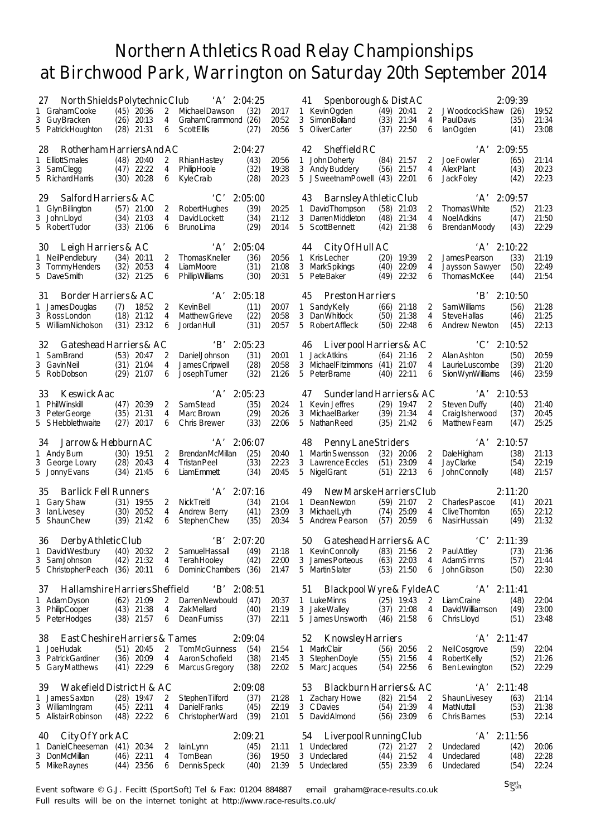| North Shields Polytechnic Club<br>27                                                            |                                                                | $'A'$ 2:04:25                                                                                                |                         | 41<br>Spenborough & Dist AC                                                                                  |                                                                                                     | 2:09:39                                                                                                 |                         |
|-------------------------------------------------------------------------------------------------|----------------------------------------------------------------|--------------------------------------------------------------------------------------------------------------|-------------------------|--------------------------------------------------------------------------------------------------------------|-----------------------------------------------------------------------------------------------------|---------------------------------------------------------------------------------------------------------|-------------------------|
| 1 GrahamCooke<br>3 Guy Bracken<br>5 Patrick Houghton                                            | $(45)$ 20:36<br>2<br>$(26)$ 20:13<br>4<br>$(28)$ 21:31<br>6    | (32)<br>Michael Dawson<br>GrahamCrammond (26)<br>Scott Ellis<br>(27)                                         | 20:17<br>20:52<br>20:56 | 1 KevinOgden<br>3 Simon Bolland<br>5 OliverCarter                                                            | $(49)$ 20:41<br>2<br>(33)<br>21:34<br>4<br>22:50<br>(37)<br>6                                       | JWoodcockShaw (26)<br><b>PaulDavis</b><br>(35)<br>lanOgden<br>(41)                                      | 19:52<br>21:34<br>23:08 |
| Rotherham Harriers And AC<br>28<br><b>ElliottSmales</b><br>1<br>3 SamClegg<br>5 Richard Harris  | $(48)$ 20:40<br>2<br>$(47)$ 22:22<br>4<br>(30)<br>20:28<br>6   | 2:04:27<br>(43)<br>RhianHastey<br>PhilipHoole<br>(32)<br>(28)<br>KyleCraib                                   | 20:56<br>19:38<br>20:23 | 42<br>Sheffield RC<br>John Doherty<br>1<br>3 Andy Buddery<br>5 JSweetnamPowell (43)                          | $(84)$ 21:57<br>2<br>$(56)$ 21:57<br>4<br>22:01<br>6                                                | $'A'$ 2:09:55<br>(65)<br>Joe Fowler<br><b>Alex Plant</b><br>(43)<br>(42)<br><b>JackFoley</b>            | 21:14<br>20:23<br>22:23 |
| Salford Harriers & AC<br>29<br>GlynBillington<br>1<br>3 John Lloyd<br>5 Robert Tudor            | $(57)$ 21:00<br>2<br>$(34)$ 21:03<br>4<br>$(33)$ 21:06<br>6    | $^{\circ}C^{\prime}$<br>2:05:00<br>(39)<br>Robert Hughes<br>(34)<br>DavidLockett<br><b>BrunoLima</b><br>(29) | 20:25<br>21:12<br>20:14 | 43<br>Barnsley Athletic Club<br>David Thompson<br>$\mathbf{1}$<br>3 DarrenMiddleton<br>5 Scott Bennett       | (58)<br>21:03<br>2<br>(48)<br>21:34<br>4<br>(42)<br>21:38<br>6                                      | 'A' 2:09:57<br>(52)<br><b>Thomas White</b><br><b>Noel Adkins</b><br>(47)<br>(43)<br><b>BrendanMoody</b> | 21:23<br>21:50<br>22:29 |
| 30<br>Leigh Harriers & AC<br>1 Neil Pendlebury<br>3 TommyHenders<br>5 DaveSmith                 | $(34)$ 20:11<br>2<br>(32)<br>20:53<br>4<br>(32)<br>21:25<br>6  | $'A'$ 2:05:04<br><b>Thomas Kneller</b><br>(36)<br>LiamMoore<br>(31)<br>PhillipWilliams<br>(30)               | 20:56<br>21:08<br>20:31 | 44<br>City Of Hull AC<br>1 Kris Lecher<br>3 Mark Spikings<br>5 PeteBaker                                     | 19:39<br>(20)<br>2<br>(40)<br>22:09<br>4<br>(49)<br>22:32<br>6                                      | $'A'$ 2:10:22<br>(33)<br>James Pearson<br>Jaysson Sawyer<br>(50)<br><b>ThomasMcKee</b><br>(44)          | 21:19<br>22:49<br>21:54 |
| Border Harriers & AC<br>31<br>1 James Douglas<br>(7)<br>3 RossLondon<br>5 William Nicholson     | 18:52<br>2<br>$(18)$ 21:12<br>4<br>$(31)$ 23:12<br>6           | $'A'$ 2:05:18<br>(11)<br><b>Kevin Bell</b><br>(22)<br><b>Matthew Grieve</b><br>(31)<br>JordanHull            | 20:07<br>20:58<br>20:57 | <b>Preston Harriers</b><br>45<br>Sandy Kelly<br>$\mathbf{1}$<br>3<br><b>Dan Whitlock</b><br>5 Robert Affleck | $(66)$ 21:18<br>2<br>(50)<br>21:38<br>4<br>22:48<br>(50)<br>6                                       | B<br>2:10:50<br>(56)<br><b>SamWilliams</b><br><b>Steve Hallas</b><br>(46)<br>Andrew Newton<br>(45)      | 21:28<br>21:25<br>22:13 |
| Gateshead Harriers & AC<br>32<br>1<br>SamBrand<br>3 GavinNeil<br>5 RobDobson                    | $(53)$ 20:47<br>2<br>$(31)$ 21:04<br>4<br>$(29)$ 21:07<br>6    | $'B'$ 2:05:23<br>(31)<br>Daniel Johnson<br>James Cripwell<br>(28)<br>(32)<br>Joseph Turner                   | 20:01<br>20:58<br>21:26 | 46<br>1 Jack Atkins<br>3 Michael Fitzimmons (41)<br>5 PeterBrame                                             | Liverpool Harriers $&AC$<br>2<br>$(64)$ 21:16<br>21:07<br>4<br>$(40)$ 22:11<br>6                    | $\lq C$<br>2:10:52<br>(50)<br>Alan Ashton<br>Laurie Luscombe<br>(39)<br><b>SionWynWilliams</b><br>(46)  | 20:59<br>21:20<br>23:59 |
| Keswick Aac<br>33<br>1 PhilWinskill<br>3 PeterGeorge<br>5 SHebblethwaite                        | 20:39<br>(47)<br>2<br>(35)<br>21:31<br>4<br>(27)<br>20:17<br>6 | 'A'<br>2:05:23<br><b>SamStead</b><br>(35)<br>(29)<br>Marc Brown<br><b>Chris Brewer</b><br>(33)               | 20:24<br>20:26<br>22:06 | 47<br>1 Kevin Jeffres<br>3 Michael Barker<br>5 Nathan Reed                                                   | Sunderland Harriers & AC<br>$(29)$ 19:47<br>2<br>$(39)$ 21:34<br>4<br>(35)<br>21:42<br>6            | $'A'$ 2:10:53<br>(40)<br>Steven Duffy<br>CraigIsherwood<br>(37)<br>Matthew Fearn<br>(47)                | 21:40<br>20:45<br>25:25 |
| Jarrow & Hebburn AC<br>34<br>1 Andy Burn<br>3 George Lowry<br>5 Jonny Evans                     | $(30)$ 19:51<br>2<br>$(28)$ 20:43<br>4<br>$(34)$ 21:45<br>6    | $'A'$ 2:06:07<br>(25)<br><b>BrendanMcMillan</b><br>(33)<br><b>Tristan Peel</b><br>LiamEmmett<br>(34)         | 20:40<br>22:23<br>20:45 | 48<br>Penny Lane Striders<br>1 Martin Swensson<br>3 Lawrence Eccles<br>5 Nigel Grant                         | (32)<br>20:06<br>2<br>(51)<br>23:09<br>4<br>$(51)$ 22:13<br>6                                       | $'A'$ 2:10:57<br>(38)<br><b>DaleHigham</b><br>JayClarke<br>(54)<br><b>John Connolly</b><br>(48)         | 21:13<br>22:19<br>21:57 |
| <b>Barlick Fell Runners</b><br>35<br>1 Gary Shaw<br>3 lanLivesey<br>5 ShaunChew                 | $(31)$ 19:55<br>2<br>$(30)$ 20:52<br>4<br>$(39)$ 21:42<br>6    | $'A'$ 2:07:16<br>(34)<br>Nick Treitl<br>Andrew Berry<br>(41)<br>(35)<br>Stephen Chew                         | 21:04<br>23:09<br>20:34 | 49<br>1 DeanNewton<br>3 Michael Lyth<br>5 Andrew Pearson                                                     | New Marske Harriers Club<br>$(59)$ 21:07<br>2<br>25:09<br>(74)<br>4<br>(57)<br>20:59<br>6           | 2:11:20<br>(41)<br><b>Charles Pascoe</b><br>Clive Thornton<br>(65)<br>(49)<br>Nasir Hussain             | 20:21<br>22:12<br>21:32 |
| 36 Derby Athletic Club<br>1 David Westbury<br>3<br>SamJohnson<br>5 Christopher Peach (36) 20:11 | $(40)$ 20:32<br>2<br>$(42)$ 21:32<br>4<br>6                    | $'B'$ 2:07:20<br>(49)<br><b>SamuelHassall</b><br>(42)<br>TerahHooley<br>DominicChambers (36)                 | 21:18<br>22:00<br>21:47 | 50 Gateshead Harriers & AC<br>1 KevinConnolly<br>3 James Porteous<br>5 Martin Slater                         | $(83)$ 21:56<br>$\overline{2}$<br>$(63)$ 22:03<br>4<br>$(53)$ 21:50<br>6                            | $'C'$ 2:11:39<br>(73)<br>Paul Attley<br>AdamSimms<br>(57)<br>John Gibson<br>(50)                        | 21:36<br>21:44<br>22:30 |
| Hallamshire Harriers Sheffield<br>37<br>1 Adam Dyson<br>3 PhilipCooper<br>5 Peter Hodges        | $(62)$ 21:09<br>2<br>$(43)$ 21:38<br>4<br>$(38)$ 21:57<br>6    | $'B'$ 2:08:51<br>Darren Newbould<br>(47)<br>ZakMellard<br>(40)<br><b>DeanFurniss</b><br>(37)                 | 20:37<br>21:19<br>22:11 | 51<br>1 LukeMinns<br>3 JakeWalley<br>5 James Unsworth                                                        | Blackpool Wyre & Fylde AC<br>2<br>$(25)$ 19:43<br>$(37)$ 21:08<br>4<br>$(46)$ 21:58<br>6            | $'A'$ 2:11:41<br><b>LiamCraine</b><br>(48)<br><b>DavidWilliamson</b><br>(49)<br>Chris Lloyd<br>(51)     | 22:04<br>23:00<br>23:48 |
| East Cheshire Harriers & Tames<br>38<br>JoeHudak<br>1.<br>3 Patrick Gardiner<br>5 GaryMatthews  | $(51)$ 20:45<br>2<br>$(36)$ 20:09<br>4<br>$(41)$ 22:29<br>6    | 2:09:04<br><b>TomMcGuinness</b><br>(54)<br>(38)<br>Aaron Schofield<br>(38)<br>Marcus Gregory                 | 21:54<br>21:45<br>22:02 | 52<br><b>Knowsley Harriers</b><br>1 MarkClair<br>3 StephenDoyle<br>5 Marc Jacques                            | $(56)$ 20:56<br>2<br>$(55)$ 21:56<br>4<br>$(54)$ 22:56<br>6                                         | $'A'$ 2:11:47<br>(59)<br><b>NeilCosgrove</b><br>Robert Kelly<br>(52)<br>(52)<br><b>Ben Lewington</b>    | 22:04<br>21:26<br>22:29 |
| Wakefield District H & AC<br>39<br>James Saxton<br>1.<br>3 WilliamIngram<br>5 Alistair Robinson | $(28)$ 19:47<br>2<br>$(45)$ 22:11<br>4<br>$(48)$ 22:22<br>6    | 2:09:08<br>(37)<br>Stephen Tilford<br><b>DanielFranks</b><br>(45)<br>(39)<br>Christopher Ward                | 21:28<br>22:19<br>21:01 | 53<br>1 Zachary Howe<br>3 CDavies<br>5 David Almond                                                          | Blackburn Harriers & AC<br>$(82)$ 21:54<br>2<br>$(54)$ 21:39<br>$\overline{4}$<br>$(56)$ 23:09<br>6 | $'A'$ 2:11:48<br><b>Shaun Livesey</b><br>(63)<br>MatNuttall<br>(53)<br>Chris Barnes<br>(53)             | 21:14<br>21:38<br>22:14 |
| City Of York AC<br>40<br>Daniel Cheeseman<br>3 DonMcMillan<br>5 Mike Raynes                     | (41)<br>20:34<br>2<br>$(46)$ 22:11<br>4<br>$(44)$ 23:56<br>6   | 2:09:21<br>(45)<br>lainLynn<br>TomBean<br>(36)<br>(40)<br>Dennis Speck                                       | 21:11<br>19:50<br>21:39 | Liverpool Running Club<br>54<br>1 Undeclared<br>3 Undeclared<br>5 Undeclared                                 | $(72)$ 21:27<br>2<br>$(44)$ 21:52<br>4<br>$(55)$ 23:39<br>6                                         | $'A'$ 2:11:56<br>Undeclared<br>(42)<br>Undeclared<br>(48)<br>Undeclared<br>(54)                         | 20:06<br>22:28<br>22:24 |

Event software © G.J. Fecitt (SportSoft) Tel & Fax: 01204 884887 email graham@race-results.co.uk Full results will be on the internet tonight at http://www.race-results.co.uk/

Sport Soft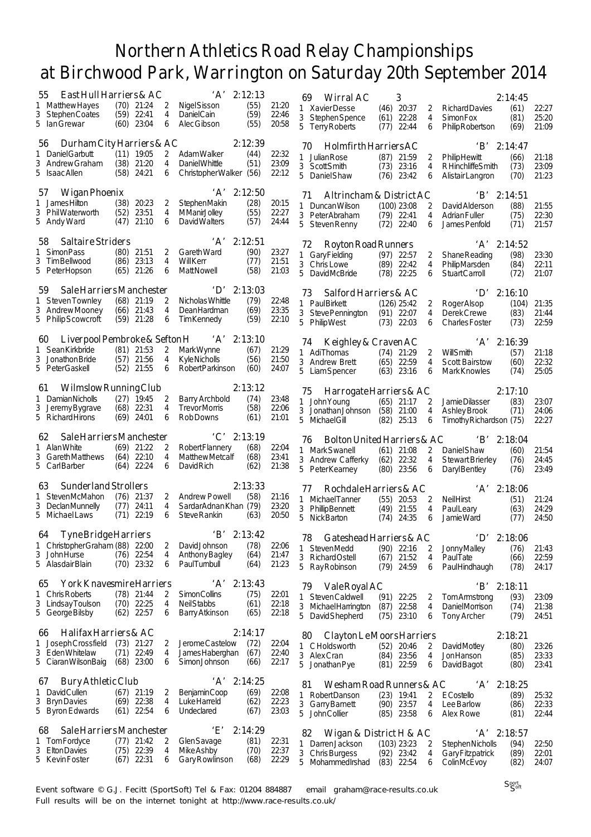|                                                                                                              | East Hull Harriers & AC                                                                        | 'A'                                                                                  | 2:12:13                         |                         | Wirral AC<br>69                                                                                           | 3                                              |                          |                                                                                  | 2:14:45                               |                         |
|--------------------------------------------------------------------------------------------------------------|------------------------------------------------------------------------------------------------|--------------------------------------------------------------------------------------|---------------------------------|-------------------------|-----------------------------------------------------------------------------------------------------------|------------------------------------------------|--------------------------|----------------------------------------------------------------------------------|---------------------------------------|-------------------------|
| Matthew Hayes<br>1<br>3<br>Stephen Coates<br>5.<br>lan Grewar                                                | $(70)$ 21:24<br>2<br>(59)<br>22:41<br>4<br>23:04<br>(60)<br>6                                  | Nigel Sisson<br>DanielCain<br>Alec Gibson                                            | (55)<br>(59)<br>(55)            | 21:20<br>22:46<br>20:58 | 1 Xavier Desse<br>3 Stephen Spence<br>5 Terry Roberts                                                     | $(46)$ 20:37<br>22:28<br>(61)<br>(77)<br>22:44 | 2<br>$\overline{4}$<br>6 | <b>Richard Davies</b><br><b>SimonFox</b><br>Philip Robertson                     | (61)<br>(81)<br>(69)                  | 22:27<br>25:20<br>21:09 |
| 56<br>Daniel Garbutt<br>1<br>3 Andrew Graham<br>5 Isaac Allen                                                | Durham City Harriers & AC<br>$(11)$ 19:05<br>2<br>(38)<br>21:20<br>4<br>(58)<br>24:21<br>6     | AdamWalker<br>Daniel Whittle<br>Christopher Walker (56)                              | 2:12:39<br>(44)<br>(51)         | 22:32<br>23:09<br>22:12 | Holmfirth Harriers AC<br>70<br>Julian Rose<br>1<br>3 ScottSmith<br>5<br><b>Daniel Shaw</b>                | $(87)$ 21:59<br>(73)<br>23:16<br>(76)<br>23:42 | 2<br>4<br>6              | <b>PhilipHewitt</b><br>RHinchliffeSmith<br>Alistair Langron                      | $B'$ 2:14:47<br>(66)<br>(73)<br>(70)  | 21:18<br>23:09<br>21:23 |
| <b>Wigan Phoenix</b><br>57<br><b>JamesHilton</b><br>$\mathbf{1}$<br>3 PhilWaterworth<br>5 Andy Ward          | (38)<br>20:23<br>2<br>(52)<br>23:51<br>4<br>(47)<br>21:10<br>6                                 | $'A'$ 2:12:50<br><b>StephenMakin</b><br><b>MManirJolley</b><br>David Walters         | (28)<br>(55)<br>(57)            | 20:15<br>22:27<br>24:44 | Altrincham & District AC<br>71<br>$\mathbf{1}$<br>Duncan Wilson<br>3 Peter Abraham<br>5 Steven Renny      | $(100)$ 23:08<br>$(79)$ 22:41<br>(72)<br>22:40 | 2<br>4<br>6              | $\mathbf{B}^{\prime}$<br>David Alderson<br><b>Adrian Fuller</b><br>James Penfold | 2:14:51<br>(88)<br>(75)<br>(71)       | 21:55<br>22:30<br>21:57 |
| <b>Saltaire Striders</b><br>58<br><b>SimonPass</b><br>3<br>Tim Bellwood<br>5 PeterHopson                     | (80)<br>21:51<br>2<br>23:13<br>(86)<br>4<br>21:26<br>(65)<br>6                                 | ʻA'<br><b>Gareth Ward</b><br>WillKerr<br>Matt Nowell                                 | 2:12:51<br>(90)<br>(77)<br>(58) | 23:27<br>21:51<br>21:03 | Royton Road Runners<br>72<br>1 Gary Fielding<br>3 Chris Lowe<br>5 DavidMcBride                            | $(97)$ 22:57<br>$(89)$ 22:42<br>(78)<br>22:25  | 2<br>4<br>6              | 'A'<br>Shane Reading<br>PhilipMarsden<br>Stuart Carroll                          | 2:14:52<br>(98)<br>(84)<br>(72)       | 23:30<br>22:11<br>21:07 |
| 59<br>Steven Townley<br>1<br>3 Andrew Mooney<br>5 Philip Scowcroft                                           | Sale Harriers Manchester<br>$(68)$ 21:19<br>2<br>$(66)$ 21:43<br>4<br>21:28<br>(59)<br>6       | $\mathbf{D}^{\prime}$<br>Nicholas Whittle<br><b>DeanHardman</b><br><b>TimKennedy</b> | 2:13:03<br>(79)<br>(69)<br>(59) | 22:48<br>23:35<br>22:10 | Salford Harriers & AC<br>73<br>1 PaulBirkett<br>3 Steve Pennington<br>5<br><b>PhilipWest</b>              | $(126)$ 25:42<br>$(91)$ 22:07<br>$(73)$ 22:03  | 2<br>4<br>6              | $\mathbf{D}^{\prime}$<br>Roger Alsop<br>Derek Crewe<br><b>Charles Foster</b>     | 2:16:10<br>(104)<br>(83)<br>(73)      | 21:35<br>21:44<br>22:59 |
| 60<br><b>Sean Kirkbride</b><br>1<br>3 Jonathon Bride<br>5 Peter Gaskell                                      | Liverpool Pembroke & Sefton H<br>$(81)$ 21:53<br>2<br>(57)<br>21:56<br>4<br>(52)<br>21:55<br>6 | A'<br>Mark Wynne<br><b>KyleNicholls</b><br>Robert Parkinson                          | 2:13:10<br>(67)<br>(56)<br>(60) | 21:29<br>21:50<br>24:07 | Keighley & Craven AC<br>74<br>1 AdiThomas<br>3 Andrew Brett<br>5 Liam Spencer                             | $(74)$ 21:29<br>(65)<br>22:59<br>$(63)$ 23:16  | 2<br>4<br>6              | WillSmith<br><b>Scott Bairstow</b><br>Mark Knowles                               | $'A'$ 2:16:39<br>(57)<br>(60)<br>(74) | 21:18<br>22:32<br>25:05 |
| 61<br>DamianNicholls<br>1<br>3 Jeremy Bygrave<br>5 Richard Hirons                                            | Wilmslow Running Club<br>$(27)$ 19:45<br>2<br>(68)<br>22:31<br>4<br>$(69)$ 24:01<br>6          | <b>Barry Archbold</b><br><b>TrevorMorris</b><br>Rob Downs                            | 2:13:12<br>(74)<br>(58)<br>(61) | 23:48<br>22:06<br>21:01 | Harrogate Harriers & AC<br>75<br>John Young<br>1.<br>3 Jonathan Johnson<br>5<br>MichaelGill               | $(65)$ 21:17<br>(58)<br>21:00<br>25:13<br>(82) | 2<br>4<br>6              | Jamie Dilasser<br>Ashley Brook<br>Timothy Richardson (75)                        | 2:17:10<br>(83)<br>(71)               | 23:07<br>24:06<br>22:27 |
|                                                                                                              |                                                                                                |                                                                                      |                                 |                         |                                                                                                           |                                                |                          |                                                                                  |                                       |                         |
| 62<br>Alan White<br>1<br>3 GarethMatthews<br>5 CarlBarber                                                    | Sale Harriers Manchester<br>$(69)$ 21:22<br>2<br>(64)<br>22:10<br>4<br>$(64)$ 22:24<br>6       | $^{\circ}$ C' 2:13:19<br>Robert Flannery<br><b>MatthewMetcalf</b><br>David Rich      | (68)<br>(68)<br>(62)            | 22:04<br>23:41<br>21:38 | Bolton United Harriers & AC<br>76<br>1 MarkSwanell<br>3 Andrew Cafferky<br>5<br>Peter Kearney             | $(61)$ 21:08<br>(62)<br>22:32<br>(80)<br>23:56 | 2<br>4<br>6              | B'<br>Daniel Shaw<br><b>Stewart Brierley</b><br>Daryl Bentley                    | 2:18:04<br>(60)<br>(76)<br>(76)       | 21:54<br>24:45<br>23:49 |
| Sunderland Strollers<br>63<br>StevenMcMahon<br>3 DeclanMunnelly<br>5 Michael Laws                            | $(76)$ 21:37<br>2<br>(77)<br>24:11<br>4<br>$(71)$ 22:19<br>6                                   | <b>Andrew Powell</b><br>SardarAdnanKhan (79)<br>Steve Rankin                         | 2:13:33<br>(58)<br>(63)         | 21:16<br>23:20<br>20:50 | Rochdale Harriers & AC<br>77<br>1 Michael Tanner<br>3 PhillipBennett<br>5<br>Nick Barton                  | $(55)$ 20:53<br>(49)<br>21:55<br>(74)<br>24:35 | 2<br>4<br>6              | 'A'<br><b>NeilHirst</b><br>PaulLeary<br>JamieWard                                | 2:18:06<br>(51)<br>(63)<br>(77)       | 21:24<br>24:29<br>24:50 |
| <b>Tyne Bridge Harriers</b><br>64<br>ChristopherGraham (88) 22:00<br>1<br>3<br>JohnHurse<br>5 Alasdair Blain | 2<br>$(76)$ 22:54<br>4<br>$(70)$ 23:32<br>6                                                    | $'B'$ 2:13:42<br>DavidJohnson<br>Anthony Bagley<br><b>PaulTurnbull</b>               | (78)<br>(64)<br>(64)            | 22:06<br>21:47<br>21:23 | Gateshead Harriers & AC<br>78<br>1<br><b>StevenMedd</b><br>3<br><b>RichardOstell</b><br>5<br>Ray Robinson | $(90)$ 22:16<br>$(67)$ 21:52<br>$(79)$ 24:59   | 2<br>4<br>6              | 'D<br>JonnyMalley<br><b>PaulTate</b><br>PaulHindhaugh                            | 2:18:06<br>(76)<br>(66)<br>(78)       | 21:43<br>22:59<br>24:17 |
| 65<br>Chris Roberts<br>1.<br>3 Lindsay Toulson<br>5 George Bilsby                                            | York Knavesmire Harriers<br>$(78)$ 21:44<br>2<br>$(70)$ 22:25<br>4<br>(62)<br>22:57<br>6       | 'A'<br><b>SimonCollins</b><br><b>NeilStabbs</b><br>Barry Atkinson                    | 2:13:43<br>(75)<br>(61)<br>(65) | 22:01<br>22:18<br>22:18 | 79<br>Vale Royal AC<br>1 Steven Caldwell<br>3 Michael Harrington<br>5 DavidShepherd                       | $(91)$ 22:25<br>(87)<br>22:58<br>$(75)$ 23:10  | 2<br>4<br>6              | B'<br>Tom Armstrong<br>DanielMorrison<br><b>Tony Archer</b>                      | 2:18:11<br>(93)<br>(74)<br>(79)       | 23:09<br>21:38<br>24:51 |
| Halifax Harriers & AC<br>66<br>Joseph Crossfield<br>Τ<br>3 Eden Whitelaw<br>5 Ciaran Wilson Baig             | $(73)$ 21:27<br>2<br>$(71)$ 22:49<br>4<br>$(68)$ 23:00<br>6                                    | JeromeCastelow<br>James Haberghan<br>SimonJohnson                                    | 2:14:17<br>(72)<br>(67)<br>(66) | 22:04<br>22:40<br>22:17 | Clayton Le Moors Harriers<br>80<br>1 CHoldsworth<br>3 Alex Cran<br>5<br>Jonathan Pye                      | $(52)$ 20:46<br>$(84)$ 23:56<br>$(81)$ 22:59   | 2<br>4<br>6              | David Motley<br>JonHanson<br>David Bagot                                         | 2:18:21<br>(80)<br>(85)<br>(80)       | 23:26<br>23:33<br>23:41 |
| Bury Athletic Club<br>67<br>David Cullen<br>1<br>3<br><b>Bryn Davies</b><br>5 Byron Edwards                  | $(67)$ 21:19<br>2<br>$(69)$ 22:38<br>4<br>$(61)$ 22:54<br>6                                    | $'A'$ 2:14:25<br><b>BenjaminCoop</b><br>Luke Harreld<br>Undeclared                   | (69)<br>(62)<br>(67)            | 22:08<br>22:23<br>23:03 | Wesham Road Runners & AC<br>81<br><b>RobertDanson</b><br>1<br>3 Garry Barnett<br>5<br><b>John Collier</b> | $(23)$ 19:41<br>$(90)$ 23:57<br>$(85)$ 23:58   | 2<br>4<br>6              | $A$ '<br><b>E</b> Costello<br>Lee Barlow<br>Alex Rowe                            | 2:18:25<br>(89)<br>(86)<br>(81)       | 25:32<br>22:33<br>22:44 |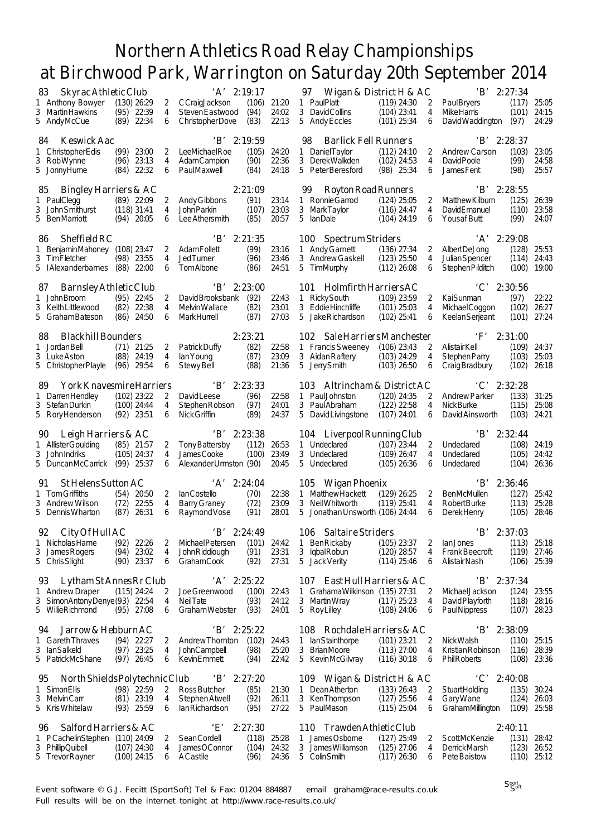| 83                                                    | Skyrac Athletic Club           |                     | $'A'$ 2:19:17                               |                  |                | 97<br>Wigan & District H & AC                          |                                |                     | B                                         | 2:27:34          |                |
|-------------------------------------------------------|--------------------------------|---------------------|---------------------------------------------|------------------|----------------|--------------------------------------------------------|--------------------------------|---------------------|-------------------------------------------|------------------|----------------|
| 1 Anthony Bowyer<br>3 Martin Hawkins                  | $(130)$ 26:29<br>$(95)$ 22:39  | 2<br>$\overline{4}$ | CCraigJackson<br>Steven Eastwood            | (106)<br>(94)    | 21:20<br>24:02 | 1 PaulPlatt<br>3 DavidCollins                          | $(119)$ 24:30<br>$(104)$ 23:41 | 2<br>4              | <b>PaulBryers</b><br><b>MikeHarris</b>    | (117)<br>(101)   | 25:05<br>24:15 |
| 5 AndyMcCue                                           | $(89)$ 22:34                   | 6                   | Christopher Dove                            | (83)             | 22:13          | 5 Andy Eccles                                          | $(101)$ 25:34                  | 6                   | David Waddington                          | (97)             | 24:29          |
| Keswick Aac<br>84                                     |                                |                     | $'B'$ 2:19:59                               |                  |                | 98<br><b>Barlick Fell Runners</b>                      |                                |                     | $B'$ 2:28:37                              |                  |                |
| 1 Christopher Edis<br>3 RobWynne                      | $(99)$ 23:00<br>$(96)$ 23:13   | 2<br>4              | <b>LeeMichaelRoe</b><br><b>AdamCampion</b>  | (105)<br>(90)    | 24:20<br>22:36 | 1 Daniel Taylor<br>3 DerekWalkden                      | $(112)$ 24:10<br>$(102)$ 24:53 | 2<br>$\overline{4}$ | <b>Andrew Carson</b><br>David Poole       | (103)<br>(99)    | 23:05<br>24:58 |
| 5 JonnyHume                                           | $(84)$ 22:32                   | 6                   | PaulMaxwell                                 | (84)             | 24:18          | 5 Peter Beresford                                      | $(98)$ 25:34                   | 6                   | <b>JamesFent</b>                          | (98)             | 25:57          |
| <b>Bingley Harriers &amp; AC</b><br>85                |                                |                     |                                             | 2:21:09          |                | Royton Road Runners<br>99                              |                                |                     | B'                                        | 2:28:55          |                |
| 1 PaulClegg                                           | $(89)$ 22:09                   | 2                   | Andy Gibbons                                | (91)             | 23:14          | 1 Ronnie Garrod                                        | $(124)$ 25:05                  | 2                   | Matthew Kilburn                           | (125)            | 26:39          |
| 3 John Smithurst<br>5 BenMarriott                     | $(118)$ 31:41<br>$(94)$ 20:05  | 4<br>6              | <b>John Parkin</b><br>Lee Athersmith        | (107)<br>(85)    | 23:03<br>20:57 | 3<br><b>MarkTaylor</b><br>5<br>lanDale                 | $(116)$ 24:47<br>$(104)$ 24:19 | 4<br>6              | <b>DavidEmanuel</b><br><b>Yousaf Butt</b> | (110)<br>(99)    | 23:58<br>24:07 |
|                                                       |                                |                     |                                             |                  |                |                                                        |                                |                     |                                           |                  |                |
| Sheffield RC<br>86<br>1 BenjaminMahoney               | $(108)$ 23:47                  | 2                   | 'B'<br><b>AdamFollett</b>                   | 2:21:35<br>(99)  | 23:16          | 100 Spectrum Striders<br>1 Andy Garnett                | $(136)$ 27:34                  | 2                   | $'A'$ 2:29:08<br>Albert DeJong            | (128)            | 25:53          |
| 3 Tim Fletcher                                        | (98) 23:55                     | 4                   | <b>JedTurner</b>                            | (96)             | 23:46          | 3 Andrew Gaskell                                       | $(123)$ 25:50                  | 4                   | Julian Spencer                            | (114)            | 24:43          |
| 5 I Alexanderbarnes                                   | (88)<br>22:00                  | 6                   | <b>TomAlbone</b>                            | (86)             | 24:51          | 5<br>TimMurphy                                         | $(112)$ 26:08                  | 6                   | Stephen Pilditch                          | (100)            | 19:00          |
| Barnsley Athletic Club<br>87                          |                                |                     | 'B'                                         | 2:23:00          |                | 101 Holmfirth Harriers AC                              |                                |                     | $\cdot$ C $\cdot$                         | 2:30:56          |                |
| 1 John Broom                                          | $(95)$ 22:45                   | 2                   | David Brooksbank                            | (92)             | 22:43          | 1 RickySouth                                           | $(109)$ 23:59                  | 2                   | KaiSunman                                 | (97)             | 22:22          |
| 3 Keith Littlewood<br>5 Graham Bateson                | $(82)$ 22:38<br>$(86)$ 24:50   | 4<br>6              | <b>Melvin Wallace</b><br><b>MarkHurrell</b> | (82)<br>(87)     | 23:01<br>27:03 | 3 Eddie Hinchliffe<br>5<br>Jake Richardson             | $(101)$ 25:03<br>$(102)$ 25:41 | 4<br>6              | MichaelCoggon<br><b>Keelan Serjeant</b>   | (102)<br>(101)   | 26:27<br>27:24 |
|                                                       |                                |                     |                                             |                  |                |                                                        |                                |                     |                                           |                  |                |
| <b>Blackhill Bounders</b><br>88<br>1 Jordan Bell      | $(71)$ 21:25                   | 2                   | Patrick Duffy                               | 2:23:21<br>(82)  | 22:58          | 102 Sale Harriers Manchester<br>1 Francis Sweeney      | $(106)$ 23:43                  | 2                   | $\cdot$ F'<br>Alistair Kell               | 2:31:00<br>(109) | 24:37          |
| 3 Luke Aston                                          | $(88)$ 24:19                   | 4                   | lan Young                                   | (87)             | 23:09          | 3 Aidan Raftery                                        | $(103)$ 24:29                  | 4                   | Stephen Parry                             | (103)            | 25:03          |
| 5 Christopher Playle                                  | $(96)$ 29:54                   | 6                   | <b>Stewy Bell</b>                           | (88)             | 21:36          | 5<br>Jerry Smith                                       | $(103)$ 26:50                  | 6                   | Craig Bradbury                            | (102)            | 26:18          |
| York Knavesmire Harriers<br>89                        |                                |                     | $B'$ 2:23:33                                |                  |                | 103 Altrincham & District AC                           |                                |                     | $\cdot$ C $\cdot$                         | 2:32:28          |                |
| 1 Darren Hendley                                      | $(102)$ 23:22                  | 2                   | <b>DavidLeese</b>                           | (96)             | 22:58          | 1 PaulJohnston                                         | $(120)$ 24:35                  | 2                   | <b>Andrew Parker</b>                      | (133)            | 31:25          |
| 3 Stefan Durkin<br>5 Rory Henderson                   | $(100)$ 24:44<br>$(92)$ 23:51  | 4<br>6              | Stephen Robson<br>Nick Griffin              | (97)<br>(89)     | 24:01<br>24:37 | 3 PaulAbraham<br>5 David Livingstone                   | $(122)$ 22:58<br>$(107)$ 24:01 | 4<br>6              | Nick Burke<br>David Ainsworth             | (115)<br>(103)   | 25:08<br>24:21 |
|                                                       |                                |                     |                                             |                  |                |                                                        |                                |                     |                                           |                  |                |
|                                                       |                                |                     |                                             |                  |                |                                                        |                                |                     |                                           |                  |                |
| Leigh Harriers & AC<br>90                             |                                |                     | $B'$ 2:23:38                                |                  |                | 104 Liverpool Running Club                             |                                |                     | B                                         | 2:32:44          |                |
| 1 Allister Goulding<br>3 John Indriks                 | $(85)$ 21:57<br>$(105)$ 24:37  | 2<br>4              | <b>Tony Battersby</b><br><b>JamesCooke</b>  | (112)<br>(100)   | 26:53<br>23:49 | 1 Undeclared<br>3 Undeclared                           | $(107)$ 23:44<br>$(109)$ 26:47 | 2<br>4              | Undeclared<br>Undeclared                  | (108)<br>(105)   | 24:19<br>24:42 |
| 5 DuncanMcCarrick (99) 25:37                          |                                | 6                   | Alexander Urmston (90)                      |                  | 20:45          | 5<br>Undeclared                                        | $(105)$ 26:36                  | 6                   | Undeclared                                | (104)            | 26:36          |
| <b>St Helens Sutton AC</b><br>91                      |                                |                     | $'A'$ 2:24:04                               |                  |                | Wigan Phoenix<br>105                                   |                                |                     | 'B'                                       | 2:36:46          |                |
| 1 Tom Griffiths                                       | (54)<br>20:50                  | 2                   | lan Costello                                | (70)             | 22:38          | Matthew Hackett<br>$\mathbf{1}$                        | $(129)$ 26:25                  | 2                   | <b>BenMcMullen</b>                        | (127)            | 25:42          |
| 3 Andrew Wilson<br>5 Dennis Wharton                   | (72)<br>22:55<br>(87)<br>26:31 | 4<br>6              | <b>Barry Graney</b><br>Raymond Vose         | (72)<br>(91)     | 23:09<br>28:01 | 3 Neil Whitworth<br>5<br>Jonathan Unsworth (106) 24:44 | $(119)$ 25:41                  | 4<br>6              | Robert Burke<br>Derek Henry               | (113)<br>(105)   | 25:28<br>28:46 |
|                                                       |                                |                     |                                             |                  |                |                                                        |                                |                     |                                           |                  |                |
| City Of Hull AC<br>92<br>Nicholas Harne<br>1.         |                                |                     | $'B'$ 2:24:49                               |                  | $(101)$ 24:42  | 106 Saltaire Striders<br>1 Ben Rickaby                 |                                |                     | $'B'$ 2:37:03<br>lanJones                 |                  |                |
| 3<br>James Rogers                                     | $(92)$ 22:26<br>$(94)$ 23:02   | 2<br>4              | Michael Petersen<br>John Riddiough          | (91)             | 23:31          | 3 IqbalRobun                                           | $(105)$ 23:37<br>$(120)$ 28:57 | 2<br>4              | Frank Beecroft                            | (113)<br>(119)   | 25:18<br>27:46 |
| 5 Chris Slight                                        | $(90)$ 23:37                   | 6                   | GrahamCook                                  | (92)             | 27:31          | 5 Jack Verity                                          | $(114)$ 25:46                  | 6                   | Alistair Nash                             | (106)            | 25:39          |
| Lytham St Annes Rr Club<br>93                         |                                |                     | $'A'$ 2:25:22                               |                  |                | East Hull Harriers & AC<br>107                         |                                |                     | $B'$ 2:37:34                              |                  |                |
| 1 Andrew Draper                                       | $(115)$ 24:24                  | 2                   | Joe Greenwood                               | (100)            | 22:43          | GrahamaWilkinson (135) 27:31<br>1                      |                                | 2                   | Michael Jackson                           | (124)            | 23:55          |
| 3<br>SimonAntonyDenye(93) 22:54<br>5 Willie Richmond  | $(95)$ 27:08                   | 4<br>6              | <b>NeilTate</b><br>Graham Webster           | (93)<br>(93)     | 24:12<br>24:01 | 3 Martin Wray<br>5 Roy Lilley                          | $(117)$ 25:23<br>$(108)$ 24:06 | 4<br>6              | David Playforth<br><b>PaulNippress</b>    | (118)<br>(107)   | 28:16<br>28:23 |
|                                                       |                                |                     |                                             |                  |                |                                                        |                                |                     |                                           |                  |                |
| Jarrow & Hebburn AC<br>94<br>1 Gareth Thraves         | $(94)$ 22:27                   | 2                   | B'<br>Andrew Thornton                       | 2:25:22<br>(102) | 24:43          | 108 Rochdale Harriers & AC<br>1 IanStainthorpe         | $(101)$ 23:21                  | 2                   | 'B'<br>Nick Walsh                         | 2:38:09<br>(110) | 25:15          |
| 3 lanSalkeld                                          | $(97)$ 23:25                   | 4                   | JohnCampbell                                | (98)             | 25:20          | 3<br><b>BrianMoore</b>                                 | $(113)$ 27:00                  | 4                   | Kristian Robinson                         | (116)            | 28:39          |
| 5 PatrickMcShane                                      | $(97)$ 26:45                   | 6                   | Kevin Emmett                                | (94)             | 22:42          | 5 KevinMcGilvray                                       | $(116)$ 30:18                  | 6                   | <b>Phil Roberts</b>                       | (108)            | 23:36          |
| North Shields Polytechnic Club<br>95                  |                                |                     | $\Delta$                                    | 2:27:20          |                | Wigan & District H & AC<br>109                         |                                |                     | $\cdot$ C                                 | 2:40:08          |                |
| 1 SimonEllis                                          | $(98)$ 22:59                   | 2                   | Ross Butcher                                | (85)             | 21:30          | 1 Dean Atherton                                        | $(133)$ 26:43                  | 2                   | Stuart Holding                            | (135)            | 30:24          |
| 3 MelvinCarr<br>5 Kris Whitelaw                       | $(81)$ 23:19<br>$(93)$ 25:59   | 4<br>6              | Stephen Atwell<br>lan Richardson            | (92)<br>(95)     | 26:11<br>27:22 | 3 KenThompson<br>5<br>PaulMason                        | $(127)$ 25:56<br>$(115)$ 25:04 | 4<br>6              | Gary Wane<br>GrahamMillington             | (124)<br>(109)   | 26:03<br>25:58 |
| 96                                                    |                                |                     |                                             |                  |                |                                                        |                                |                     |                                           |                  |                |
| Salford Harriers & AC<br>PCachelinStephen (110) 24:09 |                                | 2                   | 'Ε'<br><b>SeanCordell</b>                   | 2:27:30<br>(118) | 25:28          | Trawden Athletic Club<br>110<br>James Osborne<br>1     | $(127)$ 25:49                  | 2                   | <b>ScottMcKenzie</b>                      | 2:40:11<br>(131) | 28:42          |
| 3 PhillipQuibell<br>5 Trevor Rayner                   | $(107)$ 24:30<br>$(100)$ 24:15 | 4<br>6              | James OConnor<br>ACastile                   | (104)<br>(96)    | 24:32<br>24:36 | 3<br>James Williamson<br>5 ColinSmith                  | $(125)$ 27:06<br>$(117)$ 26:30 | 4<br>6              | Derrick Marsh<br>Pete Baistow             | (123)<br>(110)   | 26:52<br>25:12 |